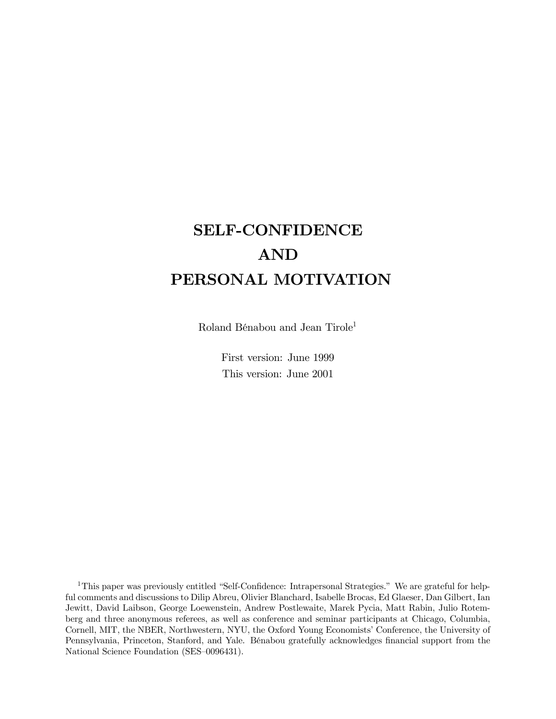# SELF-CONFIDENCE AND PERSONAL MOTIVATION

Roland Bénabou and Jean Tirole1

First version: June 1999 This version: June 2001

<sup>1</sup>This paper was previously entitled "Self-Confidence: Intrapersonal Strategies." We are grateful for helpful comments and discussions to Dilip Abreu, Olivier Blanchard, Isabelle Brocas, Ed Glaeser, Dan Gilbert, Ian Jewitt, David Laibson, George Loewenstein, Andrew Postlewaite, Marek Pycia, Matt Rabin, Julio Rotemberg and three anonymous referees, as well as conference and seminar participants at Chicago, Columbia, Cornell, MIT, the NBER, Northwestern, NYU, the Oxford Young Economists' Conference, the University of Pennsylvania, Princeton, Stanford, and Yale. Bénabou gratefully acknowledges financial support from the National Science Foundation (SES—0096431).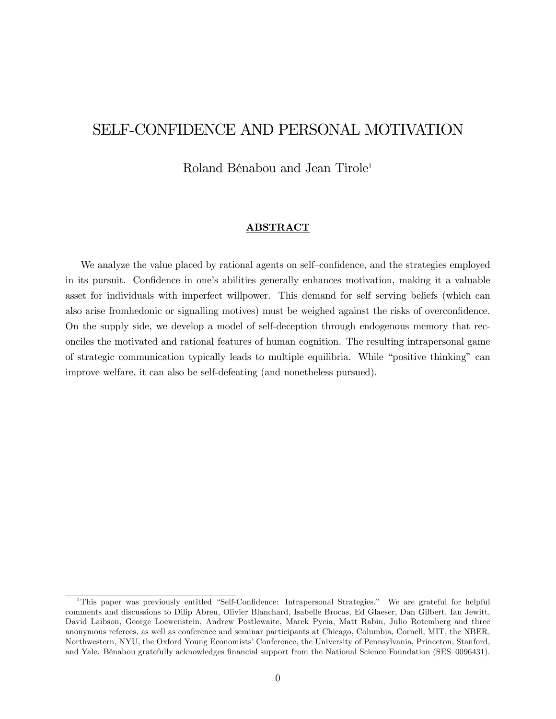# SELF-CONFIDENCE AND PERSONAL MOTIVATION

Roland Bénabou and Jean Tirole1

#### ABSTRACT

We analyze the value placed by rational agents on self—confidence, and the strategies employed in its pursuit. Confidence in one's abilities generally enhances motivation, making it a valuable asset for individuals with imperfect willpower. This demand for self—serving beliefs (which can also arise fromhedonic or signalling motives) must be weighed against the risks of overconfidence. On the supply side, we develop a model of self-deception through endogenous memory that reconciles the motivated and rational features of human cognition. The resulting intrapersonal game of strategic communication typically leads to multiple equilibria. While "positive thinking" can improve welfare, it can also be self-defeating (and nonetheless pursued).

<sup>1</sup>This paper was previously entitled "Self-Confidence: Intrapersonal Strategies." We are grateful for helpful comments and discussions to Dilip Abreu, Olivier Blanchard, Isabelle Brocas, Ed Glaeser, Dan Gilbert, Ian Jewitt, David Laibson, George Loewenstein, Andrew Postlewaite, Marek Pycia, Matt Rabin, Julio Rotemberg and three anonymous referees, as well as conference and seminar participants at Chicago, Columbia, Cornell, MIT, the NBER, Northwestern, NYU, the Oxford Young Economists' Conference, the University of Pennsylvania, Princeton, Stanford, and Yale. Bénabou gratefully acknowledges financial support from the National Science Foundation (SES—0096431).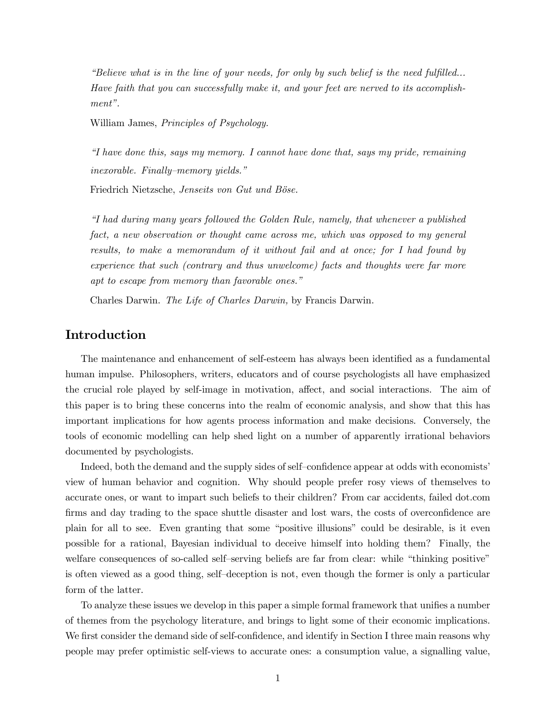"Believe what is in the line of your needs, for only by such belief is the need fulfilled... Have faith that you can successfully make it, and your feet are nerved to its accomplishment".

William James, Principles of Psychology.

"I have done this, says my memory. I cannot have done that, says my pride, remaining inexorable. Finally—memory yields."

Friedrich Nietzsche, Jenseits von Gut und Böse.

"I had during many years followed the Golden Rule, namely, that whenever a published fact, a new observation or thought came across me, which was opposed to my general results, to make a memorandum of it without fail and at once; for I had found by experience that such (contrary and thus unwelcome) facts and thoughts were far more apt to escape from memory than favorable ones."

Charles Darwin. The Life of Charles Darwin, by Francis Darwin.

## Introduction

The maintenance and enhancement of self-esteem has always been identified as a fundamental human impulse. Philosophers, writers, educators and of course psychologists all have emphasized the crucial role played by self-image in motivation, affect, and social interactions. The aim of this paper is to bring these concerns into the realm of economic analysis, and show that this has important implications for how agents process information and make decisions. Conversely, the tools of economic modelling can help shed light on a number of apparently irrational behaviors documented by psychologists.

Indeed, both the demand and the supply sides of self—confidence appear at odds with economists' view of human behavior and cognition. Why should people prefer rosy views of themselves to accurate ones, or want to impart such beliefs to their children? From car accidents, failed dot.com firms and day trading to the space shuttle disaster and lost wars, the costs of overconfidence are plain for all to see. Even granting that some "positive illusions" could be desirable, is it even possible for a rational, Bayesian individual to deceive himself into holding them? Finally, the welfare consequences of so-called self—serving beliefs are far from clear: while "thinking positive" is often viewed as a good thing, self—deception is not, even though the former is only a particular form of the latter.

To analyze these issues we develop in this paper a simple formal framework that unifies a number of themes from the psychology literature, and brings to light some of their economic implications. We first consider the demand side of self-confidence, and identify in Section I three main reasons why people may prefer optimistic self-views to accurate ones: a consumption value, a signalling value,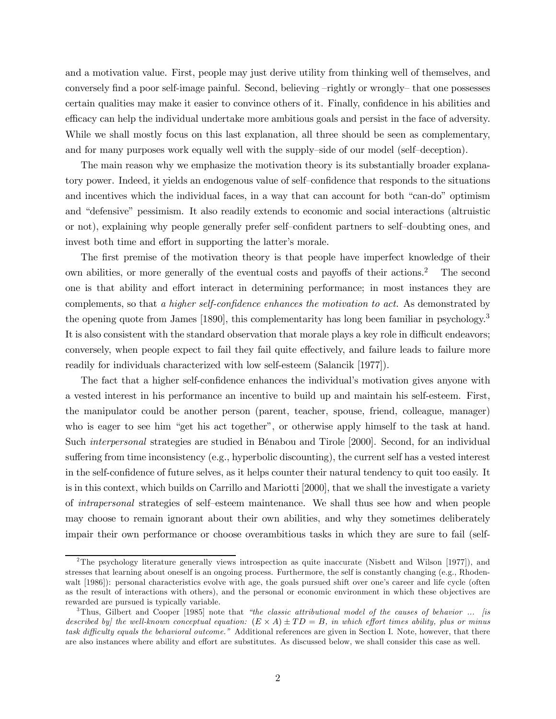and a motivation value. First, people may just derive utility from thinking well of themselves, and conversely find a poor self-image painful. Second, believing —rightly or wrongly— that one possesses certain qualities may make it easier to convince others of it. Finally, confidence in his abilities and efficacy can help the individual undertake more ambitious goals and persist in the face of adversity. While we shall mostly focus on this last explanation, all three should be seen as complementary, and for many purposes work equally well with the supply—side of our model (self—deception).

The main reason why we emphasize the motivation theory is its substantially broader explanatory power. Indeed, it yields an endogenous value of self—confidence that responds to the situations and incentives which the individual faces, in a way that can account for both "can-do" optimism and "defensive" pessimism. It also readily extends to economic and social interactions (altruistic or not), explaining why people generally prefer self—confident partners to self—doubting ones, and invest both time and effort in supporting the latter's morale.

The first premise of the motivation theory is that people have imperfect knowledge of their own abilities, or more generally of the eventual costs and payoffs of their actions.2 The second one is that ability and effort interact in determining performance; in most instances they are complements, so that a higher self-confidence enhances the motivation to act. As demonstrated by the opening quote from James [1890], this complementarity has long been familiar in psychology.<sup>3</sup> It is also consistent with the standard observation that morale plays a key role in difficult endeavors; conversely, when people expect to fail they fail quite effectively, and failure leads to failure more readily for individuals characterized with low self-esteem (Salancik [1977]).

The fact that a higher self-confidence enhances the individual's motivation gives anyone with a vested interest in his performance an incentive to build up and maintain his self-esteem. First, the manipulator could be another person (parent, teacher, spouse, friend, colleague, manager) who is eager to see him "get his act together", or otherwise apply himself to the task at hand. Such interpersonal strategies are studied in Bénabou and Tirole [2000]. Second, for an individual suffering from time inconsistency (e.g., hyperbolic discounting), the current self has a vested interest in the self-confidence of future selves, as it helps counter their natural tendency to quit too easily. It is in this context, which builds on Carrillo and Mariotti [2000], that we shall the investigate a variety of intrapersonal strategies of self—esteem maintenance. We shall thus see how and when people may choose to remain ignorant about their own abilities, and why they sometimes deliberately impair their own performance or choose overambitious tasks in which they are sure to fail (self-

<sup>2</sup>The psychology literature generally views introspection as quite inaccurate (Nisbett and Wilson [1977]), and stresses that learning about oneself is an ongoing process. Furthermore, the self is constantly changing (e.g., Rhodenwalt [1986]): personal characteristics evolve with age, the goals pursued shift over one's career and life cycle (often as the result of interactions with others), and the personal or economic environment in which these objectives are rewarded are pursued is typically variable.

 $3$ Thus, Gilbert and Cooper [1985] note that "the classic attributional model of the causes of behavior ... [is described by the well-known conceptual equation:  $(E \times A) \pm TD = B$ , in which effort times ability, plus or minus task difficulty equals the behavioral outcome." Additional references are given in Section I. Note, however, that there are also instances where ability and effort are substitutes. As discussed below, we shall consider this case as well.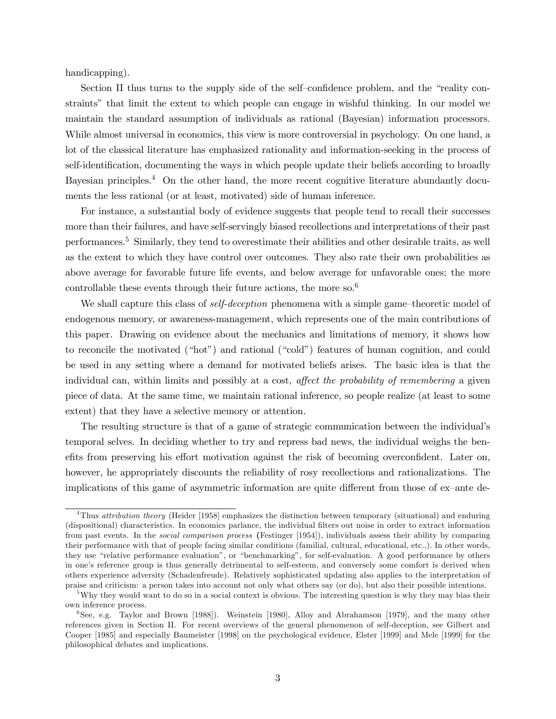handicapping).

Section II thus turns to the supply side of the self—confidence problem, and the "reality constraints" that limit the extent to which people can engage in wishful thinking. In our model we maintain the standard assumption of individuals as rational (Bayesian) information processors. While almost universal in economics, this view is more controversial in psychology. On one hand, a lot of the classical literature has emphasized rationality and information-seeking in the process of self-identification, documenting the ways in which people update their beliefs according to broadly Bayesian principles.<sup>4</sup> On the other hand, the more recent cognitive literature abundantly documents the less rational (or at least, motivated) side of human inference.

For instance, a substantial body of evidence suggests that people tend to recall their successes more than their failures, and have self-servingly biased recollections and interpretations of their past performances.5 Similarly, they tend to overestimate their abilities and other desirable traits, as well as the extent to which they have control over outcomes. They also rate their own probabilities as above average for favorable future life events, and below average for unfavorable ones; the more controllable these events through their future actions, the more so. $^6$ 

We shall capture this class of *self-deception* phenomena with a simple game–theoretic model of endogenous memory, or awareness-management, which represents one of the main contributions of this paper. Drawing on evidence about the mechanics and limitations of memory, it shows how to reconcile the motivated ("hot") and rational ("cold") features of human cognition, and could be used in any setting where a demand for motivated beliefs arises. The basic idea is that the individual can, within limits and possibly at a cost, *affect the probability of remembering* a given piece of data. At the same time, we maintain rational inference, so people realize (at least to some extent) that they have a selective memory or attention.

The resulting structure is that of a game of strategic communication between the individual's temporal selves. In deciding whether to try and repress bad news, the individual weighs the benefits from preserving his effort motivation against the risk of becoming overconfident. Later on, however, he appropriately discounts the reliability of rosy recollections and rationalizations. The implications of this game of asymmetric information are quite different from those of ex—ante de-

<sup>&</sup>lt;sup>4</sup>Thus *attribution theory* (Heider [1958] emphasizes the distinction between temporary (situational) and enduring (dispositional) characteristics. In economics parlance, the individual filters out noise in order to extract information from past events. In the social comparison process (Festinger [1954]), individuals assess their ability by comparing their performance with that of people facing similar conditions (familial, cultural, educational, etc.,). In other words, they use "relative performance evaluation", or "benchmarking", for self-evaluation. A good performance by others in one's reference group is thus generally detrimental to self-esteem, and conversely some comfort is derived when others experience adversity (Schadenfreude). Relatively sophisticated updating also applies to the interpretation of praise and criticism: a person takes into account not only what others say (or do), but also their possible intentions.

<sup>&</sup>lt;sup>5</sup>Why they would want to do so in a social context is obvious. The interesting question is why they may bias their own inference process.

<sup>&</sup>lt;sup>6</sup>See, e.g. Taylor and Brown [1988]). Weinstein [1980], Alloy and Abrahamson [1979], and the many other references given in Section II. For recent overviews of the general phenomenon of self-deception, see Gilbert and Cooper [1985] and especially Baumeister [1998] on the psychological evidence, Elster [1999] and Mele [1999] for the philosophical debates and implications.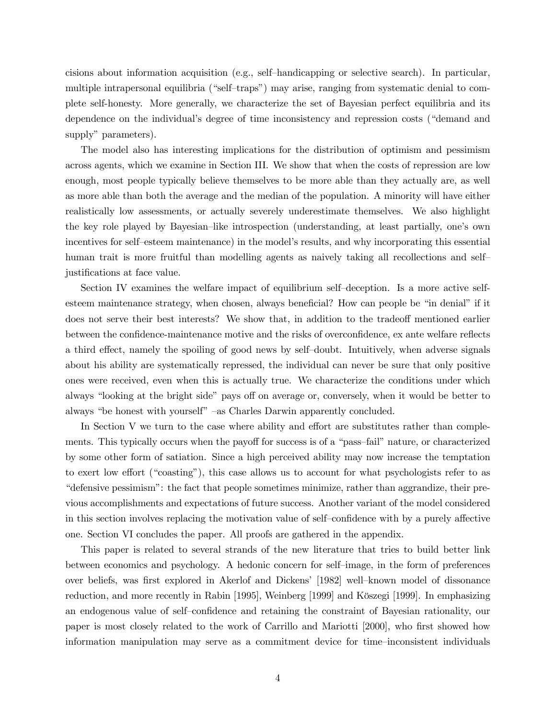cisions about information acquisition (e.g., self—handicapping or selective search). In particular, multiple intrapersonal equilibria ("self—traps") may arise, ranging from systematic denial to complete self-honesty. More generally, we characterize the set of Bayesian perfect equilibria and its dependence on the individual's degree of time inconsistency and repression costs ("demand and supply" parameters).

The model also has interesting implications for the distribution of optimism and pessimism across agents, which we examine in Section III. We show that when the costs of repression are low enough, most people typically believe themselves to be more able than they actually are, as well as more able than both the average and the median of the population. A minority will have either realistically low assessments, or actually severely underestimate themselves. We also highlight the key role played by Bayesian—like introspection (understanding, at least partially, one's own incentives for self—esteem maintenance) in the model's results, and why incorporating this essential human trait is more fruitful than modelling agents as naively taking all recollections and selfjustifications at face value.

Section IV examines the welfare impact of equilibrium self—deception. Is a more active selfesteem maintenance strategy, when chosen, always beneficial? How can people be "in denial" if it does not serve their best interests? We show that, in addition to the tradeoff mentioned earlier between the confidence-maintenance motive and the risks of overconfidence, ex ante welfare reflects a third effect, namely the spoiling of good news by self—doubt. Intuitively, when adverse signals about his ability are systematically repressed, the individual can never be sure that only positive ones were received, even when this is actually true. We characterize the conditions under which always "looking at the bright side" pays off on average or, conversely, when it would be better to always "be honest with yourself" —as Charles Darwin apparently concluded.

In Section V we turn to the case where ability and effort are substitutes rather than complements. This typically occurs when the payoff for success is of a "pass—fail" nature, or characterized by some other form of satiation. Since a high perceived ability may now increase the temptation to exert low effort ("coasting"), this case allows us to account for what psychologists refer to as "defensive pessimism": the fact that people sometimes minimize, rather than aggrandize, their previous accomplishments and expectations of future success. Another variant of the model considered in this section involves replacing the motivation value of self—confidence with by a purely affective one. Section VI concludes the paper. All proofs are gathered in the appendix.

This paper is related to several strands of the new literature that tries to build better link between economics and psychology. A hedonic concern for self—image, in the form of preferences over beliefs, was first explored in Akerlof and Dickens' [1982] well—known model of dissonance reduction, and more recently in Rabin [1995], Weinberg [1999] and Köszegi [1999]. In emphasizing an endogenous value of self—confidence and retaining the constraint of Bayesian rationality, our paper is most closely related to the work of Carrillo and Mariotti [2000], who first showed how information manipulation may serve as a commitment device for time—inconsistent individuals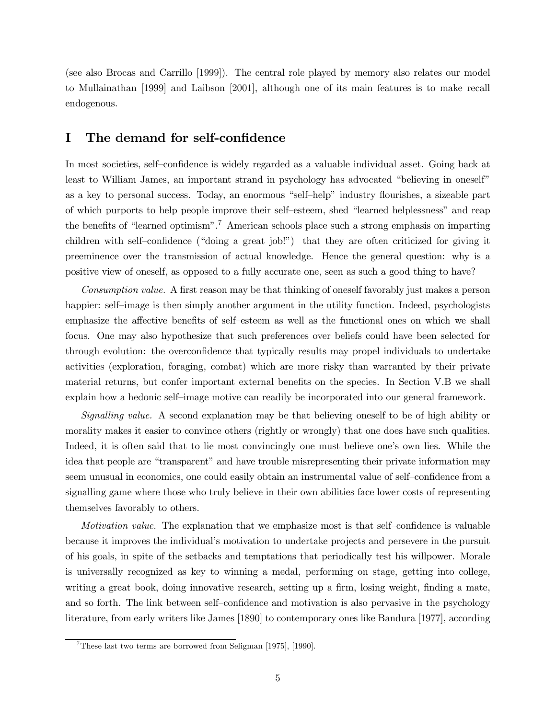(see also Brocas and Carrillo [1999]). The central role played by memory also relates our model to Mullainathan [1999] and Laibson [2001], although one of its main features is to make recall endogenous.

## I The demand for self-confidence

In most societies, self-confidence is widely regarded as a valuable individual asset. Going back at least to William James, an important strand in psychology has advocated "believing in oneself" as a key to personal success. Today, an enormous "self—help" industry flourishes, a sizeable part of which purports to help people improve their self—esteem, shed "learned helplessness" and reap the benefits of "learned optimism".<sup>7</sup> American schools place such a strong emphasis on imparting children with self—confidence ("doing a great job!") that they are often criticized for giving it preeminence over the transmission of actual knowledge. Hence the general question: why is a positive view of oneself, as opposed to a fully accurate one, seen as such a good thing to have?

Consumption value. A first reason may be that thinking of oneself favorably just makes a person happier: self-image is then simply another argument in the utility function. Indeed, psychologists emphasize the affective benefits of self—esteem as well as the functional ones on which we shall focus. One may also hypothesize that such preferences over beliefs could have been selected for through evolution: the overconfidence that typically results may propel individuals to undertake activities (exploration, foraging, combat) which are more risky than warranted by their private material returns, but confer important external benefits on the species. In Section V.B we shall explain how a hedonic self—image motive can readily be incorporated into our general framework.

Signalling value. A second explanation may be that believing oneself to be of high ability or morality makes it easier to convince others (rightly or wrongly) that one does have such qualities. Indeed, it is often said that to lie most convincingly one must believe one's own lies. While the idea that people are "transparent" and have trouble misrepresenting their private information may seem unusual in economics, one could easily obtain an instrumental value of self—confidence from a signalling game where those who truly believe in their own abilities face lower costs of representing themselves favorably to others.

Motivation value. The explanation that we emphasize most is that self—confidence is valuable because it improves the individual's motivation to undertake projects and persevere in the pursuit of his goals, in spite of the setbacks and temptations that periodically test his willpower. Morale is universally recognized as key to winning a medal, performing on stage, getting into college, writing a great book, doing innovative research, setting up a firm, losing weight, finding a mate, and so forth. The link between self-confidence and motivation is also pervasive in the psychology literature, from early writers like James [1890] to contemporary ones like Bandura [1977], according

 $7$ These last two terms are borrowed from Seligman [1975], [1990].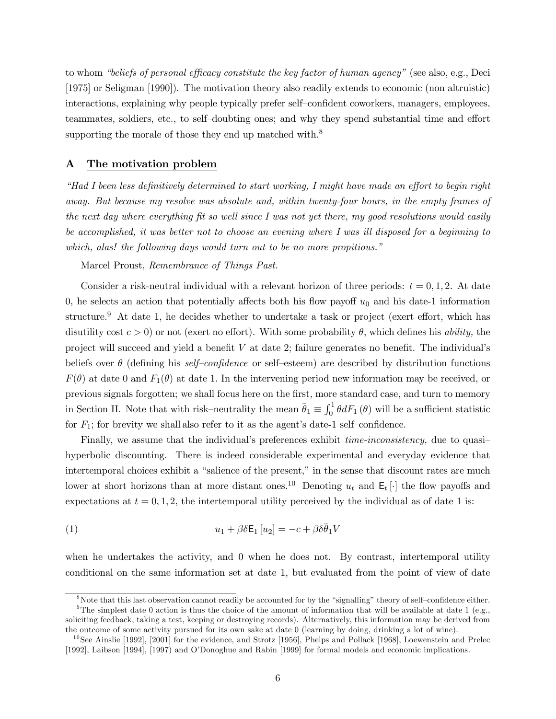to whom "beliefs of personal efficacy constitute the key factor of human agency" (see also, e.g., Deci [1975] or Seligman [1990]). The motivation theory also readily extends to economic (non altruistic) interactions, explaining why people typically prefer self—confident coworkers, managers, employees, teammates, soldiers, etc., to self—doubting ones; and why they spend substantial time and effort supporting the morale of those they end up matched with.<sup>8</sup>

#### A The motivation problem

"Had I been less definitively determined to start working, I might have made an effort to begin right away. But because my resolve was absolute and, within twenty-four hours, in the empty frames of the next day where everything fit so well since I was not yet there, my good resolutions would easily be accomplished, it was better not to choose an evening where I was ill disposed for a beginning to which, alas! the following days would turn out to be no more propitious."

Marcel Proust, Remembrance of Things Past.

Consider a risk-neutral individual with a relevant horizon of three periods:  $t = 0, 1, 2$ . At date 0, he selects an action that potentially affects both his flow payoff  $u_0$  and his date-1 information structure.<sup>9</sup> At date 1, he decides whether to undertake a task or project (exert effort, which has disutility cost  $c > 0$ ) or not (exert no effort). With some probability  $\theta$ , which defines his ability, the project will succeed and yield a benefit V at date 2; failure generates no benefit. The individual's beliefs over  $\theta$  (defining his self–confidence or self–esteem) are described by distribution functions  $F(\theta)$  at date 0 and  $F_1(\theta)$  at date 1. In the intervening period new information may be received, or previous signals forgotten; we shall focus here on the first, more standard case, and turn to memory in Section II. Note that with risk–neutrality the mean  $\bar{\theta}_1 \equiv \int_0^1 \theta dF_1(\theta)$  will be a sufficient statistic for  $F_1$ ; for brevity we shall also refer to it as the agent's date-1 self-confidence.

Finally, we assume that the individual's preferences exhibit *time-inconsistency*, due to quasihyperbolic discounting. There is indeed considerable experimental and everyday evidence that intertemporal choices exhibit a "salience of the present," in the sense that discount rates are much lower at short horizons than at more distant ones.<sup>10</sup> Denoting  $u_t$  and  $E_t$  [·] the flow payoffs and expectations at  $t = 0, 1, 2$ , the intertemporal utility perceived by the individual as of date 1 is:

(1) 
$$
u_1 + \beta \delta \mathsf{E}_1 \left[ u_2 \right] = -c + \beta \delta \bar{\theta}_1 V
$$

when he undertakes the activity, and 0 when he does not. By contrast, intertemporal utility conditional on the same information set at date 1, but evaluated from the point of view of date

<sup>&</sup>lt;sup>8</sup>Note that this last observation cannot readily be accounted for by the "signalling" theory of self-confidence either. <sup>9</sup>The simplest date 0 action is thus the choice of the amount of information that will be available at date 1 (e.g.,

soliciting feedback, taking a test, keeping or destroying records). Alternatively, this information may be derived from the outcome of some activity pursued for its own sake at date 0 (learning by doing, drinking a lot of wine). <sup>10</sup>See Ainslie [1992], [2001] for the evidence, and Strotz [1956], Phelps and Pollack [1968], Loewenstein and Prelec

<sup>[1992],</sup> Laibson [1994], [1997) and O'Donoghue and Rabin [1999] for formal models and economic implications.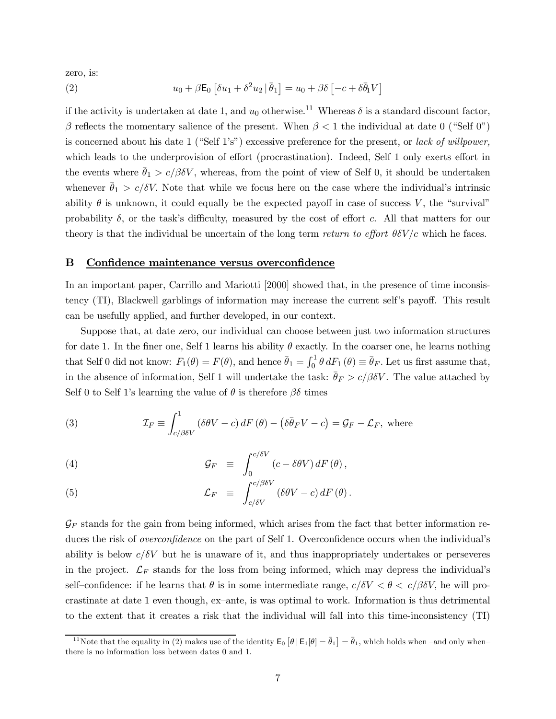zero, is:

(2) 
$$
u_0 + \beta \mathsf{E}_0 \left[ \delta u_1 + \delta^2 u_2 \, | \, \bar{\theta}_1 \right] = u_0 + \beta \delta \left[ -c + \delta \bar{\theta}_1 V \right]
$$

if the activity is undertaken at date 1, and  $u_0$  otherwise.<sup>11</sup> Whereas  $\delta$  is a standard discount factor. β reflects the momentary salience of the present. When  $β < 1$  the individual at date 0 ("Self 0") is concerned about his date 1 ("Self 1's") excessive preference for the present, or lack of willpower, which leads to the underprovision of effort (procrastination). Indeed, Self 1 only exerts effort in the events where  $\theta_1 > c/\beta \delta V$ , whereas, from the point of view of Self 0, it should be undertaken whenever  $\bar{\theta}_1 > c/\delta V$ . Note that while we focus here on the case where the individual's intrinsic ability  $\theta$  is unknown, it could equally be the expected payoff in case of success V, the "survival" probability  $\delta$ , or the task's difficulty, measured by the cost of effort c. All that matters for our theory is that the individual be uncertain of the long term return to effort  $\theta \delta V/c$  which he faces.

#### B Confidence maintenance versus overconfidence

In an important paper, Carrillo and Mariotti [2000] showed that, in the presence of time inconsistency (TI), Blackwell garblings of information may increase the current self's payoff. This result can be usefully applied, and further developed, in our context.

Suppose that, at date zero, our individual can choose between just two information structures for date 1. In the finer one, Self 1 learns his ability  $\theta$  exactly. In the coarser one, he learns nothing that Self 0 did not know:  $F_1(\theta) = F(\theta)$ , and hence  $\bar{\theta}_1 = \int_0^1 \theta \, dF_1(\theta) \equiv \bar{\theta}_F$ . Let us first assume that, in the absence of information, Self 1 will undertake the task:  $\bar{\theta}_F > c/\beta \delta V$ . The value attached by Self 0 to Self 1's learning the value of  $\theta$  is therefore  $\beta\delta$  times

(3) 
$$
\mathcal{I}_F \equiv \int_{c/\beta\delta V}^1 (\delta\theta V - c) dF(\theta) - (\delta\bar{\theta}_F V - c) = \mathcal{G}_F - \mathcal{L}_F, \text{ where}
$$

(4) 
$$
\mathcal{G}_F \equiv \int_0^{c/\delta V} (c - \delta \theta V) dF(\theta),
$$

(5) 
$$
\mathcal{L}_F \equiv \int_{c/\delta V}^{c/\beta \delta V} (\delta \theta V - c) dF(\theta).
$$

 $\mathcal{G}_F$  stands for the gain from being informed, which arises from the fact that better information reduces the risk of *overconfidence* on the part of Self 1. Overconfidence occurs when the individual's ability is below  $c/\delta V$  but he is unaware of it, and thus inappropriately undertakes or perseveres in the project.  $\mathcal{L}_F$  stands for the loss from being informed, which may depress the individual's self–confidence: if he learns that  $\theta$  is in some intermediate range,  $c/\delta V < \theta < c/\beta \delta V$ , he will procrastinate at date 1 even though, ex—ante, is was optimal to work. Information is thus detrimental to the extent that it creates a risk that the individual will fall into this time-inconsistency (TI)

<sup>&</sup>lt;sup>11</sup>Note that the equality in (2) makes use of the identity  $\mathsf{E}_0\left[\theta \,|\, \mathsf{E}_1[\theta]=\bar{\theta}_1\right]=\bar{\theta}_1$ , which holds when -and only whenthere is no information loss between dates 0 and 1.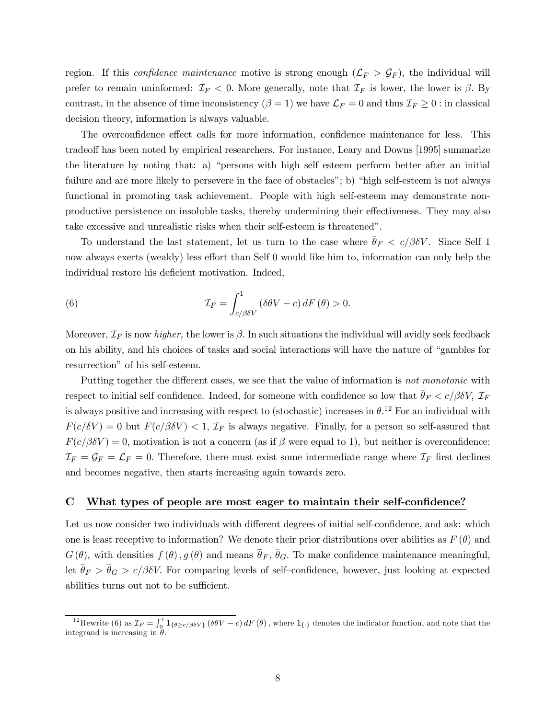region. If this *confidence maintenance* motive is strong enough  $(\mathcal{L}_F > \mathcal{G}_F)$ , the individual will prefer to remain uninformed:  $\mathcal{I}_F < 0$ . More generally, note that  $\mathcal{I}_F$  is lower, the lower is  $\beta$ . By contrast, in the absence of time inconsistency  $(\beta = 1)$  we have  $\mathcal{L}_F = 0$  and thus  $\mathcal{I}_F \geq 0$ : in classical decision theory, information is always valuable.

The overconfidence effect calls for more information, confidence maintenance for less. This tradeoff has been noted by empirical researchers. For instance, Leary and Downs [1995] summarize the literature by noting that: a) "persons with high self esteem perform better after an initial failure and are more likely to persevere in the face of obstacles"; b) "high self-esteem is not always functional in promoting task achievement. People with high self-esteem may demonstrate nonproductive persistence on insoluble tasks, thereby undermining their effectiveness. They may also take excessive and unrealistic risks when their self-esteem is threatened".

To understand the last statement, let us turn to the case where  $\bar{\theta}_F < c/\beta \delta V$ . Since Self 1 now always exerts (weakly) less effort than Self 0 would like him to, information can only help the individual restore his deficient motivation. Indeed,

(6) 
$$
\mathcal{I}_F = \int_{c/\beta\delta V}^1 (\delta\theta V - c) dF(\theta) > 0.
$$

Moreover,  $\mathcal{I}_F$  is now *higher*, the lower is  $\beta$ . In such situations the individual will avidly seek feedback on his ability, and his choices of tasks and social interactions will have the nature of "gambles for resurrection" of his self-esteem.

Putting together the different cases, we see that the value of information is *not monotonic* with respect to initial self confidence. Indeed, for someone with confidence so low that  $\bar{\theta}_F < c/\beta \delta V$ ,  $\mathcal{I}_F$ is always positive and increasing with respect to (stochastic) increases in  $\theta$ <sup>12</sup> For an individual with  $F(c/\delta V)=0$  but  $F(c/\beta \delta V) < 1$ ,  $\mathcal{I}_F$  is always negative. Finally, for a person so self-assured that  $F(c/\beta \delta V) = 0$ , motivation is not a concern (as if  $\beta$  were equal to 1), but neither is overconfidence:  $\mathcal{I}_F = \mathcal{G}_F = \mathcal{L}_F = 0$ . Therefore, there must exist some intermediate range where  $\mathcal{I}_F$  first declines and becomes negative, then starts increasing again towards zero.

#### C What types of people are most eager to maintain their self-confidence?

Let us now consider two individuals with different degrees of initial self-confidence, and ask: which one is least receptive to information? We denote their prior distributions over abilities as  $F(\theta)$  and  $G(\theta)$ , with densities  $f(\theta)$ ,  $g(\theta)$  and means  $\overline{\theta}_F$ ,  $\overline{\theta}_G$ . To make confidence maintenance meaningful, let  $\bar{\theta}_F > \bar{\theta}_G > c/\beta \delta V$ . For comparing levels of self-confidence, however, just looking at expected abilities turns out not to be sufficient.

<sup>&</sup>lt;sup>12</sup>Rewrite (6) as  $\mathcal{I}_F = \int_0^1 \mathbf{1}_{\{\theta \ge c/\beta \delta V\}} (\delta \theta V - c) dF(\theta)$ , where  $\mathbf{1}_{\{\cdot\}}$  denotes the indicator function, and note that the integrand is increasing in  $\theta$ .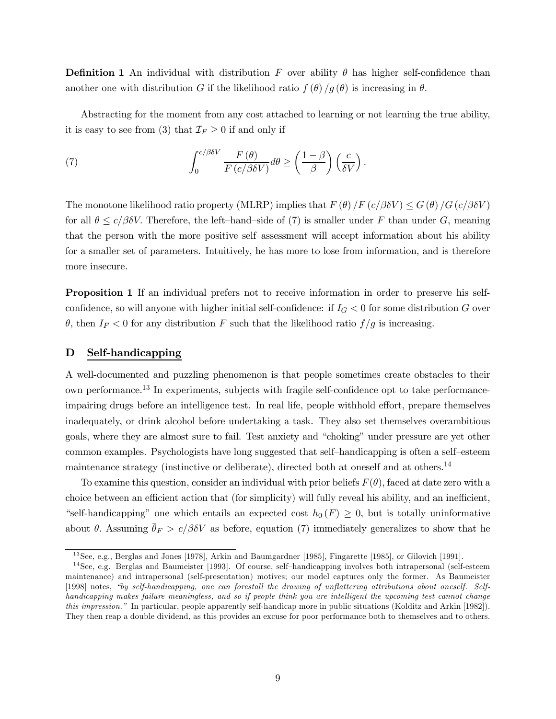**Definition 1** An individual with distribution F over ability  $\theta$  has higher self-confidence than another one with distribution G if the likelihood ratio  $f(\theta)/g(\theta)$  is increasing in  $\theta$ .

Abstracting for the moment from any cost attached to learning or not learning the true ability, it is easy to see from (3) that  $\mathcal{I}_F \geq 0$  if and only if

(7) 
$$
\int_0^{c/\beta \delta V} \frac{F(\theta)}{F(c/\beta \delta V)} d\theta \ge \left(\frac{1-\beta}{\beta}\right) \left(\frac{c}{\delta V}\right).
$$

The monotone likelihood ratio property (MLRP) implies that  $F(\theta)/F(c/\beta\delta V) \leq G(\theta)/G(c/\beta\delta V)$ for all  $\theta \leq c/\beta \delta V$ . Therefore, the left-hand-side of (7) is smaller under F than under G, meaning that the person with the more positive self—assessment will accept information about his ability for a smaller set of parameters. Intuitively, he has more to lose from information, and is therefore more insecure.

**Proposition 1** If an individual prefers not to receive information in order to preserve his selfconfidence, so will anyone with higher initial self-confidence: if  $I_G < 0$  for some distribution G over θ, then  $I<sub>F</sub> < 0$  for any distribution F such that the likelihood ratio  $f/g$  is increasing.

## D Self-handicapping

A well-documented and puzzling phenomenon is that people sometimes create obstacles to their own performance.13 In experiments, subjects with fragile self-confidence opt to take performanceimpairing drugs before an intelligence test. In real life, people withhold effort, prepare themselves inadequately, or drink alcohol before undertaking a task. They also set themselves overambitious goals, where they are almost sure to fail. Test anxiety and "choking" under pressure are yet other common examples. Psychologists have long suggested that self—handicapping is often a self—esteem maintenance strategy (instinctive or deliberate), directed both at oneself and at others.<sup>14</sup>

To examine this question, consider an individual with prior beliefs  $F(\theta)$ , faced at date zero with a choice between an efficient action that (for simplicity) will fully reveal his ability, and an inefficient, "self-handicapping" one which entails an expected cost  $h_0(F) \geq 0$ , but is totally uninformative about θ. Assuming  $\bar{\theta}_F > c/\beta \delta V$  as before, equation (7) immediately generalizes to show that he

<sup>&</sup>lt;sup>13</sup>See, e.g., Berglas and Jones [1978], Arkin and Baumgardner [1985], Fingarette [1985], or Gilovich [1991].

 $14$ See, e.g. Berglas and Baumeister [1993]. Of course, self-handicapping involves both intrapersonal (self-esteem maintenance) and intrapersonal (self-presentation) motives; our model captures only the former. As Baumeister [1998] notes, "by self-handicapping, one can forestall the drawing of unflattering attributions about oneself. Selfhandicapping makes failure meaningless, and so if people think you are intelligent the upcoming test cannot change this impression." In particular, people apparently self-handicap more in public situations (Kolditz and Arkin [1982]). They then reap a double dividend, as this provides an excuse for poor performance both to themselves and to others.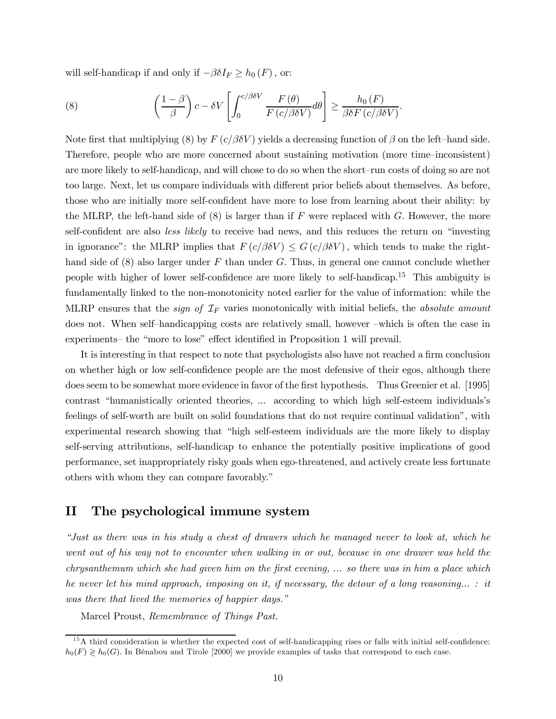will self-handicap if and only if  $-\beta \delta I_F \geq h_0(F)$ , or:

(8) 
$$
\left(\frac{1-\beta}{\beta}\right)c - \delta V \left[\int_0^{c/\beta\delta V} \frac{F(\theta)}{F(c/\beta\delta V)} d\theta\right] \ge \frac{h_0(F)}{\beta\delta F(c/\beta\delta V)}.
$$

Note first that multiplying (8) by  $F(c/\beta \delta V)$  yields a decreasing function of  $\beta$  on the left-hand side. Therefore, people who are more concerned about sustaining motivation (more time—inconsistent) are more likely to self-handicap, and will chose to do so when the short—run costs of doing so are not too large. Next, let us compare individuals with different prior beliefs about themselves. As before, those who are initially more self-confident have more to lose from learning about their ability: by the MLRP, the left-hand side of  $(8)$  is larger than if F were replaced with G. However, the more self-confident are also *less likely* to receive bad news, and this reduces the return on "investing in ignorance": the MLRP implies that  $F(c/\beta \delta V) \leq G(c/\beta \delta V)$ , which tends to make the righthand side of  $(8)$  also larger under F than under G. Thus, in general one cannot conclude whether people with higher of lower self-confidence are more likely to self-handicap.15 This ambiguity is fundamentally linked to the non-monotonicity noted earlier for the value of information: while the MLRP ensures that the *sign of*  $\mathcal{I}_F$  varies monotonically with initial beliefs, the *absolute amount* does not. When self—handicapping costs are relatively small, however —which is often the case in experiments— the "more to lose" effect identified in Proposition 1 will prevail.

It is interesting in that respect to note that psychologists also have not reached a firm conclusion on whether high or low self-confidence people are the most defensive of their egos, although there does seem to be somewhat more evidence in favor of the first hypothesis. Thus Greenier et al. [1995] contrast "humanistically oriented theories, ... according to which high self-esteem individuals's feelings of self-worth are built on solid foundations that do not require continual validation", with experimental research showing that "high self-esteem individuals are the more likely to display self-serving attributions, self-handicap to enhance the potentially positive implications of good performance, set inappropriately risky goals when ego-threatened, and actively create less fortunate others with whom they can compare favorably."

# II The psychological immune system

"Just as there was in his study a chest of drawers which he managed never to look at, which he went out of his way not to encounter when walking in or out, because in one drawer was held the chrysanthemum which she had given him on the first evening, ... so there was in him a place which he never let his mind approach, imposing on it, if necessary, the detour of a long reasoning... : it was there that lived the memories of happier days."

Marcel Proust, Remembrance of Things Past.

 $15A$  third consideration is whether the expected cost of self-handicapping rises or falls with initial self-confidence:  $h_0(F) \geq h_0(G)$ . In Bénabou and Tirole [2000] we provide examples of tasks that correspond to each case.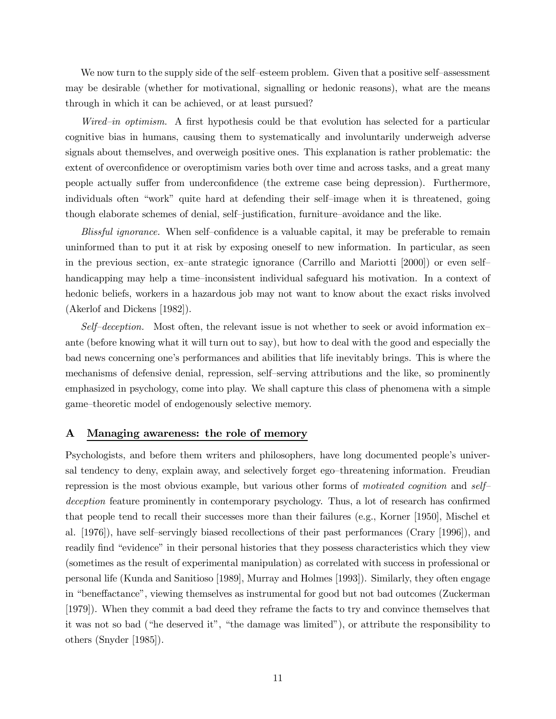We now turn to the supply side of the self-esteem problem. Given that a positive self-assessment may be desirable (whether for motivational, signalling or hedonic reasons), what are the means through in which it can be achieved, or at least pursued?

Wired–in optimism. A first hypothesis could be that evolution has selected for a particular cognitive bias in humans, causing them to systematically and involuntarily underweigh adverse signals about themselves, and overweigh positive ones. This explanation is rather problematic: the extent of overconfidence or overoptimism varies both over time and across tasks, and a great many people actually suffer from underconfidence (the extreme case being depression). Furthermore, individuals often "work" quite hard at defending their self—image when it is threatened, going though elaborate schemes of denial, self—justification, furniture—avoidance and the like.

Blissful ignorance. When self-confidence is a valuable capital, it may be preferable to remain uninformed than to put it at risk by exposing oneself to new information. In particular, as seen in the previous section, ex—ante strategic ignorance (Carrillo and Mariotti [2000]) or even self handicapping may help a time—inconsistent individual safeguard his motivation. In a context of hedonic beliefs, workers in a hazardous job may not want to know about the exact risks involved (Akerlof and Dickens [1982]).

 $Self-deception.$  Most often, the relevant issue is not whether to seek or avoid information exante (before knowing what it will turn out to say), but how to deal with the good and especially the bad news concerning one's performances and abilities that life inevitably brings. This is where the mechanisms of defensive denial, repression, self—serving attributions and the like, so prominently emphasized in psychology, come into play. We shall capture this class of phenomena with a simple game—theoretic model of endogenously selective memory.

#### A Managing awareness: the role of memory

Psychologists, and before them writers and philosophers, have long documented people's universal tendency to deny, explain away, and selectively forget ego—threatening information. Freudian repression is the most obvious example, but various other forms of *motivated cognition* and selfdeception feature prominently in contemporary psychology. Thus, a lot of research has confirmed that people tend to recall their successes more than their failures (e.g., Korner [1950], Mischel et al. [1976]), have self—servingly biased recollections of their past performances (Crary [1996]), and readily find "evidence" in their personal histories that they possess characteristics which they view (sometimes as the result of experimental manipulation) as correlated with success in professional or personal life (Kunda and Sanitioso [1989], Murray and Holmes [1993]). Similarly, they often engage in "beneffactance", viewing themselves as instrumental for good but not bad outcomes (Zuckerman [1979]). When they commit a bad deed they reframe the facts to try and convince themselves that it was not so bad ("he deserved it", "the damage was limited"), or attribute the responsibility to others (Snyder [1985]).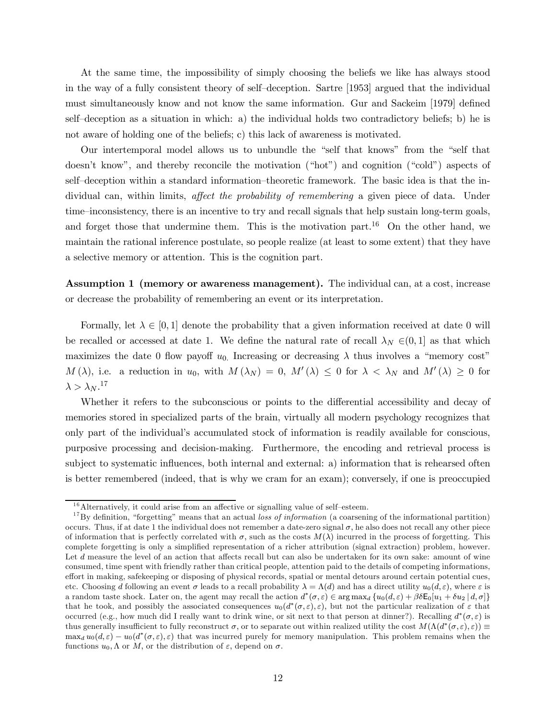At the same time, the impossibility of simply choosing the beliefs we like has always stood in the way of a fully consistent theory of self—deception. Sartre [1953] argued that the individual must simultaneously know and not know the same information. Gur and Sackeim [1979] defined self—deception as a situation in which: a) the individual holds two contradictory beliefs; b) he is not aware of holding one of the beliefs; c) this lack of awareness is motivated.

Our intertemporal model allows us to unbundle the "self that knows" from the "self that doesn't know", and thereby reconcile the motivation ("hot") and cognition ("cold") aspects of self—deception within a standard information—theoretic framework. The basic idea is that the individual can, within limits, affect the probability of remembering a given piece of data. Under time—inconsistency, there is an incentive to try and recall signals that help sustain long-term goals, and forget those that undermine them. This is the motivation part.<sup>16</sup> On the other hand, we maintain the rational inference postulate, so people realize (at least to some extent) that they have a selective memory or attention. This is the cognition part.

Assumption 1 (memory or awareness management). The individual can, at a cost, increase or decrease the probability of remembering an event or its interpretation.

Formally, let  $\lambda \in [0, 1]$  denote the probability that a given information received at date 0 will be recalled or accessed at date 1. We define the natural rate of recall  $\lambda_N \in (0,1]$  as that which maximizes the date 0 flow payoff  $u_0$ . Increasing or decreasing  $\lambda$  thus involves a "memory cost"  $M(\lambda)$ , i.e. a reduction in  $u_0$ , with  $M(\lambda_N) = 0$ ,  $M'(\lambda) \leq 0$  for  $\lambda < \lambda_N$  and  $M'(\lambda) \geq 0$  for  $\lambda > \lambda_N$ .<sup>17</sup>

Whether it refers to the subconscious or points to the differential accessibility and decay of memories stored in specialized parts of the brain, virtually all modern psychology recognizes that only part of the individual's accumulated stock of information is readily available for conscious, purposive processing and decision-making. Furthermore, the encoding and retrieval process is subject to systematic influences, both internal and external: a) information that is rehearsed often is better remembered (indeed, that is why we cram for an exam); conversely, if one is preoccupied

 $16$ Alternatively, it could arise from an affective or signalling value of self-esteem.

 $17$ By definition, "forgetting" means that an actual loss of information (a coarsening of the informational partition) occurs. Thus, if at date 1 the individual does not remember a date-zero signal  $\sigma$ , he also does not recall any other piece of information that is perfectly correlated with  $\sigma$ , such as the costs  $M(\lambda)$  incurred in the process of forgetting. This complete forgetting is only a simplified representation of a richer attribution (signal extraction) problem, however. Let d measure the level of an action that affects recall but can also be undertaken for its own sake: amount of wine consumed, time spent with friendly rather than critical people, attention paid to the details of competing informations, effort in making, safekeeping or disposing of physical records, spatial or mental detours around certain potential cues, etc. Choosing d following an event  $\sigma$  leads to a recall probability  $\lambda = \Lambda(d)$  and has a direct utility  $u_0(d,\varepsilon)$ , where  $\varepsilon$  is a random taste shock. Later on, the agent may recall the action  $d^*(\sigma, \varepsilon) \in \arg \max_d {\{u_0(d, \varepsilon) + \beta \delta E_0[u_1 + \delta u_2 | d, \sigma]\}}$ that he took, and possibly the associated consequences  $u_0(d^*(\sigma,\varepsilon),\varepsilon)$ , but not the particular realization of  $\varepsilon$  that occurred (e.g., how much did I really want to drink wine, or sit next to that person at dinner?). Recalling  $d^*(\sigma, \varepsilon)$  is thus generally insufficient to fully reconstruct  $\sigma$ , or to separate out within realized utility the cost  $M(\Lambda(d^*(\sigma,\varepsilon),\varepsilon))\equiv$  $\max_d u_0(d,\varepsilon) - u_0(d^*(\sigma,\varepsilon),\varepsilon)$  that was incurred purely for memory manipulation. This problem remains when the functions  $u_0, \Lambda$  or M, or the distribution of  $\varepsilon$ , depend on  $\sigma$ .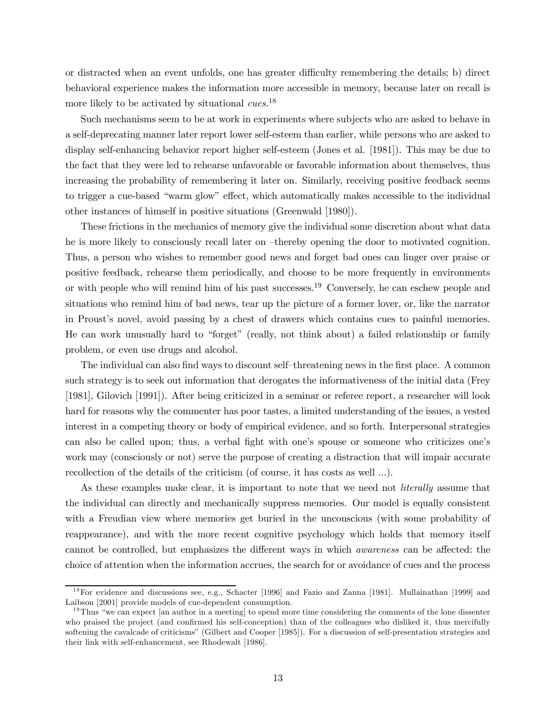or distracted when an event unfolds, one has greater difficulty remembering the details; b) direct behavioral experience makes the information more accessible in memory, because later on recall is more likely to be activated by situational cues.<sup>18</sup>

Such mechanisms seem to be at work in experiments where subjects who are asked to behave in a self-deprecating manner later report lower self-esteem than earlier, while persons who are asked to display self-enhancing behavior report higher self-esteem (Jones et al. [1981]). This may be due to the fact that they were led to rehearse unfavorable or favorable information about themselves, thus increasing the probability of remembering it later on. Similarly, receiving positive feedback seems to trigger a cue-based "warm glow" effect, which automatically makes accessible to the individual other instances of himself in positive situations (Greenwald [1980]).

These frictions in the mechanics of memory give the individual some discretion about what data he is more likely to consciously recall later on —thereby opening the door to motivated cognition. Thus, a person who wishes to remember good news and forget bad ones can linger over praise or positive feedback, rehearse them periodically, and choose to be more frequently in environments or with people who will remind him of his past successes.<sup>19</sup> Conversely, he can eschew people and situations who remind him of bad news, tear up the picture of a former lover, or, like the narrator in Proust's novel, avoid passing by a chest of drawers which contains cues to painful memories. He can work unusually hard to "forget" (really, not think about) a failed relationship or family problem, or even use drugs and alcohol.

The individual can also find ways to discount self—threatening news in the first place. A common such strategy is to seek out information that derogates the informativeness of the initial data (Frey [1981], Gilovich [1991]). After being criticized in a seminar or referee report, a researcher will look hard for reasons why the commenter has poor tastes, a limited understanding of the issues, a vested interest in a competing theory or body of empirical evidence, and so forth. Interpersonal strategies can also be called upon; thus, a verbal fight with one's spouse or someone who criticizes one's work may (consciously or not) serve the purpose of creating a distraction that will impair accurate recollection of the details of the criticism (of course, it has costs as well ...).

As these examples make clear, it is important to note that we need not *literally* assume that the individual can directly and mechanically suppress memories. Our model is equally consistent with a Freudian view where memories get buried in the unconscious (with some probability of reappearance), and with the more recent cognitive psychology which holds that memory itself cannot be controlled, but emphasizes the different ways in which awareness can be affected: the choice of attention when the information accrues, the search for or avoidance of cues and the process

<sup>&</sup>lt;sup>18</sup> For evidence and discussions see, e.g., Schacter [1996] and Fazio and Zanna [1981]. Mullainathan [1999] and Laibson [2001] provide models of cue-dependent consumption.

 $19$ Thus "we can expect [an author in a meeting] to spend more time considering the comments of the lone dissenter who praised the project (and confirmed his self-conception) than of the colleagues who disliked it, thus mercifully softening the cavalcade of criticisms" (Gilbert and Cooper [1985]). For a discussion of self-presentation strategies and their link with self-enhancement, see Rhodewalt [1986].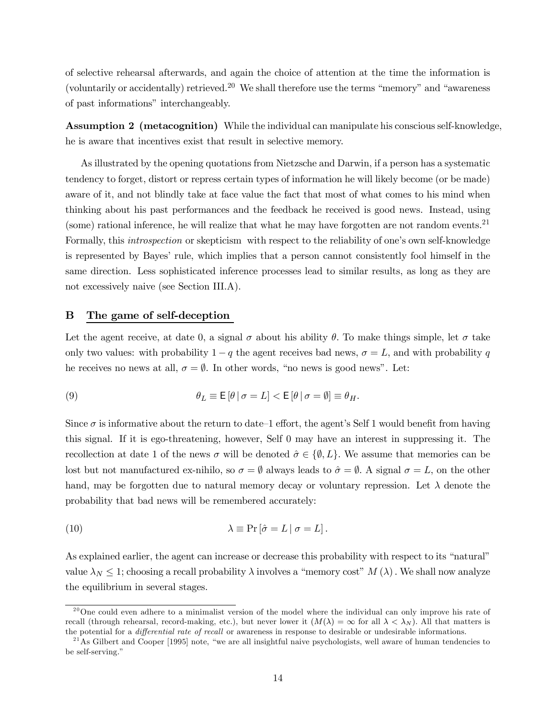of selective rehearsal afterwards, and again the choice of attention at the time the information is (voluntarily or accidentally) retrieved.<sup>20</sup> We shall therefore use the terms "memory" and "awareness" of past informations" interchangeably.

Assumption 2 (metacognition) While the individual can manipulate his conscious self-knowledge, he is aware that incentives exist that result in selective memory.

As illustrated by the opening quotations from Nietzsche and Darwin, if a person has a systematic tendency to forget, distort or repress certain types of information he will likely become (or be made) aware of it, and not blindly take at face value the fact that most of what comes to his mind when thinking about his past performances and the feedback he received is good news. Instead, using (some) rational inference, he will realize that what he may have forgotten are not random events. $21$ Formally, this introspection or skepticism with respect to the reliability of one's own self-knowledge is represented by Bayes' rule, which implies that a person cannot consistently fool himself in the same direction. Less sophisticated inference processes lead to similar results, as long as they are not excessively naive (see Section III.A).

#### B The game of self-deception

Let the agent receive, at date 0, a signal  $\sigma$  about his ability  $\theta$ . To make things simple, let  $\sigma$  take only two values: with probability  $1 - q$  the agent receives bad news,  $\sigma = L$ , and with probability q he receives no news at all,  $\sigma = \emptyset$ . In other words, "no news is good news". Let:

(9) 
$$
\theta_L \equiv \mathsf{E}[\theta | \sigma = L] < \mathsf{E}[\theta | \sigma = \emptyset] \equiv \theta_H.
$$

Since  $\sigma$  is informative about the return to date–1 effort, the agent's Self 1 would benefit from having this signal. If it is ego-threatening, however, Self 0 may have an interest in suppressing it. The recollection at date 1 of the news  $\sigma$  will be denoted  $\hat{\sigma} \in \{\emptyset, L\}$ . We assume that memories can be lost but not manufactured ex-nihilo, so  $\sigma = \emptyset$  always leads to  $\hat{\sigma} = \emptyset$ . A signal  $\sigma = L$ , on the other hand, may be forgotten due to natural memory decay or voluntary repression. Let  $\lambda$  denote the probability that bad news will be remembered accurately:

(10) 
$$
\lambda \equiv \Pr\left[\hat{\sigma} = L \,|\, \sigma = L\right].
$$

As explained earlier, the agent can increase or decrease this probability with respect to its "natural" value  $\lambda_N \leq 1$ ; choosing a recall probability  $\lambda$  involves a "memory cost"  $M(\lambda)$ . We shall now analyze the equilibrium in several stages.

 $^{20}$ One could even adhere to a minimalist version of the model where the individual can only improve his rate of recall (through rehearsal, record-making, etc.), but never lower it  $(M(\lambda) = \infty$  for all  $\lambda < \lambda_N$ ). All that matters is the potential for a differential rate of recall or awareness in response to desirable or undesirable informations.

 $2^{11}$ As Gilbert and Cooper [1995] note, "we are all insightful naive psychologists, well aware of human tendencies to be self-serving."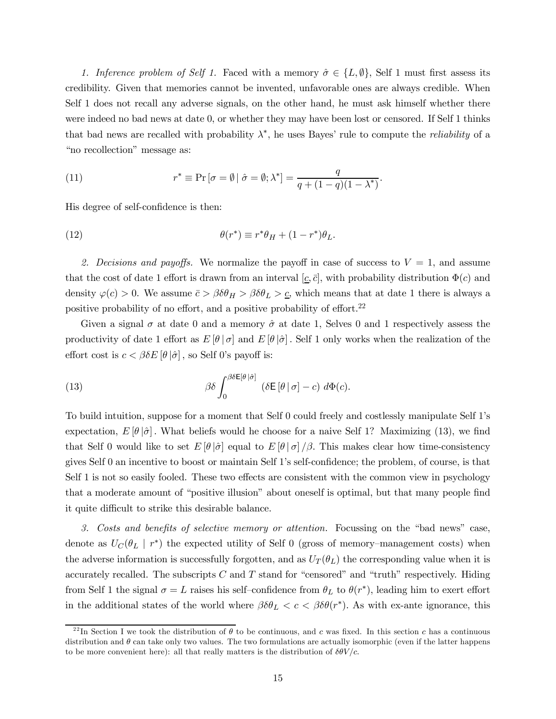1. Inference problem of Self 1. Faced with a memory  $\hat{\sigma} \in \{L, \emptyset\}$ , Self 1 must first assess its credibility. Given that memories cannot be invented, unfavorable ones are always credible. When Self 1 does not recall any adverse signals, on the other hand, he must ask himself whether there were indeed no bad news at date 0, or whether they may have been lost or censored. If Self 1 thinks that bad news are recalled with probability  $\lambda^*$ , he uses Bayes' rule to compute the *reliability* of a "no recollection" message as:

(11) 
$$
r^* \equiv \Pr\left[\sigma = \emptyset \mid \hat{\sigma} = \emptyset; \lambda^*\right] = \frac{q}{q + (1 - q)(1 - \lambda^*)}.
$$

His degree of self-confidence is then:

(12) 
$$
\theta(r^*) \equiv r^* \theta_H + (1 - r^*) \theta_L.
$$

2. Decisions and payoffs. We normalize the payoff in case of success to  $V = 1$ , and assume that the cost of date 1 effort is drawn from an interval  $[c, \bar{c}]$ , with probability distribution  $\Phi(c)$  and density  $\varphi(c) > 0$ . We assume  $\bar{c} > \beta \delta \theta_H > \beta \delta \theta_L > c$ , which means that at date 1 there is always a positive probability of no effort, and a positive probability of effort.22

Given a signal  $\sigma$  at date 0 and a memory  $\hat{\sigma}$  at date 1, Selves 0 and 1 respectively assess the productivity of date 1 effort as  $E[\theta | \sigma]$  and  $E[\theta | \hat{\sigma}]$ . Self 1 only works when the realization of the effort cost is  $c < \beta \delta E [\theta | \hat{\sigma}]$ , so Self 0's payoff is:

(13) 
$$
\beta \delta \int_0^{\beta \delta E[\theta |\hat{\sigma}]} (\delta E[\theta |\sigma] - c) d\Phi(c).
$$

To build intuition, suppose for a moment that Self 0 could freely and costlessly manipulate Self 1's expectation,  $E[\theta|\hat{\sigma}]$ . What beliefs would he choose for a naive Self 1? Maximizing (13), we find that Self 0 would like to set  $E[\theta|\hat{\sigma}]$  equal to  $E[\theta|\sigma]/\beta$ . This makes clear how time-consistency gives Self 0 an incentive to boost or maintain Self 1's self-confidence; the problem, of course, is that Self 1 is not so easily fooled. These two effects are consistent with the common view in psychology that a moderate amount of "positive illusion" about oneself is optimal, but that many people find it quite difficult to strike this desirable balance.

3. Costs and benefits of selective memory or attention. Focussing on the "bad news" case, denote as  $U_{\text{C}}(\theta_L \mid r^*)$  the expected utility of Self 0 (gross of memory–management costs) when the adverse information is successfully forgotten, and as  $U_T(\theta_L)$  the corresponding value when it is accurately recalled. The subscripts  $C$  and  $T$  stand for "censored" and "truth" respectively. Hiding from Self 1 the signal  $\sigma = L$  raises his self-confidence from  $\theta_L$  to  $\theta(r^*)$ , leading him to exert effort in the additional states of the world where  $\beta \delta \theta_L < c < \beta \delta \theta(r^*)$ . As with ex-ante ignorance, this

<sup>&</sup>lt;sup>22</sup>In Section I we took the distribution of  $\theta$  to be continuous, and c was fixed. In this section c has a continuous distribution and  $\theta$  can take only two values. The two formulations are actually isomorphic (even if the latter happens to be more convenient here): all that really matters is the distribution of  $\delta\theta V/c$ .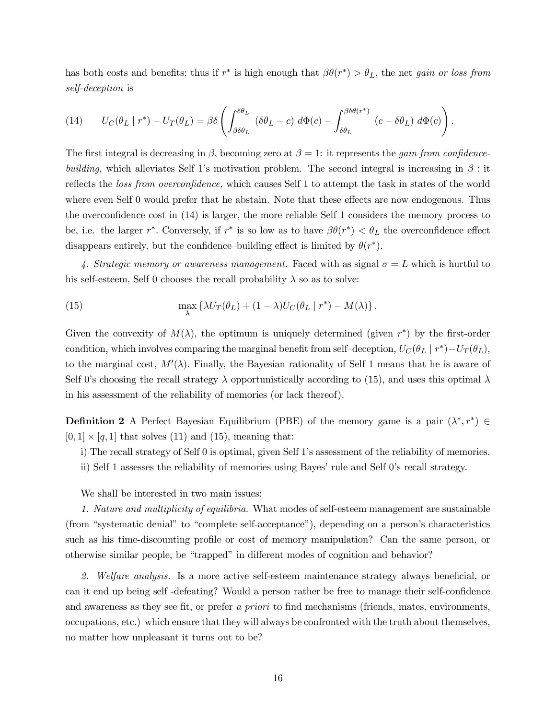has both costs and benefits; thus if  $r^*$  is high enough that  $\beta\theta(r^*) > \theta_L$ , the net gain or loss from self-deception is

(14) 
$$
U_C(\theta_L \mid r^*) - U_T(\theta_L) = \beta \delta \left( \int_{\beta \delta \theta_L}^{\delta \theta_L} (\delta \theta_L - c) d\Phi(c) - \int_{\delta \theta_L}^{\beta \delta \theta(r^*)} (c - \delta \theta_L) d\Phi(c) \right).
$$

The first integral is decreasing in  $\beta$ , becoming zero at  $\beta = 1$ : it represents the *gain from confidence*building, which alleviates Self 1's motivation problem. The second integral is increasing in  $\beta$ : it reflects the loss from overconfidence, which causes Self 1 to attempt the task in states of the world where even Self 0 would prefer that he abstain. Note that these effects are now endogenous. Thus the overconfidence cost in (14) is larger, the more reliable Self 1 considers the memory process to be, i.e. the larger r<sup>\*</sup>. Conversely, if r<sup>\*</sup> is so low as to have  $\beta\theta(r^*) < \theta_L$  the overconfidence effect disappears entirely, but the confidence–building effect is limited by  $\theta(r^*)$ .

4. Strategic memory or awareness management. Faced with as signal  $\sigma = L$  which is hurtful to his self-esteem, Self 0 chooses the recall probability  $\lambda$  so as to solve:

(15) 
$$
\max_{\lambda} \left\{ \lambda U_T(\theta_L) + (1 - \lambda) U_C(\theta_L \mid r^*) - M(\lambda) \right\}.
$$

Given the convexity of  $M(\lambda)$ , the optimum is uniquely determined (given  $r^*$ ) by the first-order condition, which involves comparing the marginal benefit from self-deception,  $U_C(\theta_L | r^*) - U_T(\theta_L)$ , to the marginal cost,  $M'(\lambda)$ . Finally, the Bayesian rationality of Self 1 means that he is aware of Self 0's choosing the recall strategy  $\lambda$  opportunistically according to (15), and uses this optimal  $\lambda$ in his assessment of the reliability of memories (or lack thereof).

**Definition 2** A Perfect Bayesian Equilibrium (PBE) of the memory game is a pair  $(\lambda^*, r^*) \in$  $[0, 1] \times [q, 1]$  that solves (11) and (15), meaning that:

i) The recall strategy of Self 0 is optimal, given Self 1's assessment of the reliability of memories.

ii) Self 1 assesses the reliability of memories using Bayes' rule and Self 0's recall strategy.

We shall be interested in two main issues:

1. Nature and multiplicity of equilibria. What modes of self-esteem management are sustainable (from "systematic denial" to "complete self-acceptance"), depending on a person's characteristics such as his time-discounting profile or cost of memory manipulation? Can the same person, or otherwise similar people, be "trapped" in different modes of cognition and behavior?

2. Welfare analysis. Is a more active self-esteem maintenance strategy always beneficial, or can it end up being self -defeating? Would a person rather be free to manage their self-confidence and awareness as they see fit, or prefer a priori to find mechanisms (friends, mates, environments, occupations, etc.) which ensure that they will always be confronted with the truth about themselves, no matter how unpleasant it turns out to be?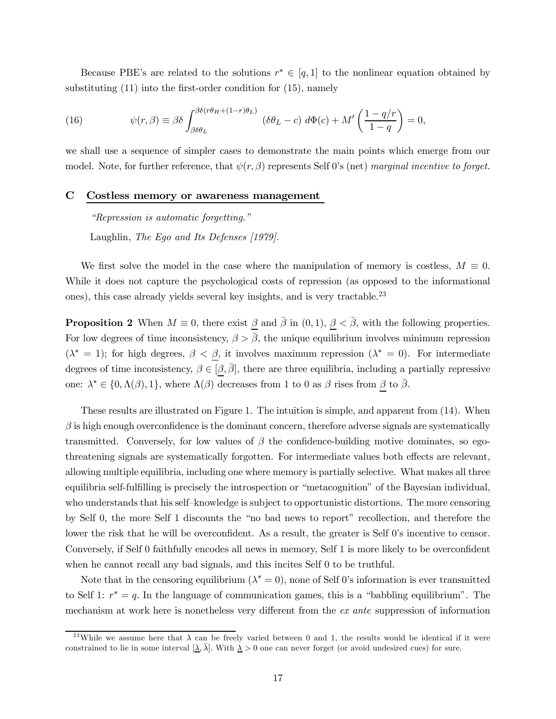Because PBE's are related to the solutions  $r^* \in [q, 1]$  to the nonlinear equation obtained by substituting (11) into the first-order condition for (15), namely

(16) 
$$
\psi(r,\beta) \equiv \beta \delta \int_{\beta \delta \theta_L}^{\beta \delta(r\theta_H + (1-r)\theta_L)} (\delta \theta_L - c) d\Phi(c) + M' \left(\frac{1 - q/r}{1 - q}\right) = 0,
$$

we shall use a sequence of simpler cases to demonstrate the main points which emerge from our model. Note, for further reference, that  $\psi(r, \beta)$  represents Self 0's (net) marginal incentive to forget.

### C Costless memory or awareness management

"Repression is automatic forgetting." Laughlin, The Ego and Its Defenses [1979].

We first solve the model in the case where the manipulation of memory is costless,  $M \equiv 0$ . While it does not capture the psychological costs of repression (as opposed to the informational ones), this case already yields several key insights, and is very tractable.<sup>23</sup>

**Proposition 2** When  $M \equiv 0$ , there exist  $\underline{\beta}$  and  $\overline{\beta}$  in  $(0, 1)$ ,  $\underline{\beta} < \overline{\beta}$ , with the following properties. For low degrees of time inconsistency,  $\beta > \beta$ , the unique equilibrium involves minimum repression  $(\lambda^* = 1)$ ; for high degrees,  $\beta < \beta$ , it involves maximum repression  $(\lambda^* = 0)$ . For intermediate degrees of time inconsistency,  $\beta \in [\beta, \overline{\beta}]$ , there are three equilibria, including a partially repressive one:  $\lambda^* \in \{0, \Lambda(\beta), 1\}$ , where  $\Lambda(\beta)$  decreases from 1 to 0 as  $\beta$  rises from  $\beta$  to  $\overline{\beta}$ .

These results are illustrated on Figure 1. The intuition is simple, and apparent from (14). When  $\beta$  is high enough overconfidence is the dominant concern, therefore adverse signals are systematically transmitted. Conversely, for low values of  $\beta$  the confidence-building motive dominates, so egothreatening signals are systematically forgotten. For intermediate values both effects are relevant, allowing multiple equilibria, including one where memory is partially selective. What makes all three equilibria self-fulfilling is precisely the introspection or "metacognition" of the Bayesian individual, who understands that his self—knowledge is subject to opportunistic distortions. The more censoring by Self 0, the more Self 1 discounts the "no bad news to report" recollection, and therefore the lower the risk that he will be overconfident. As a result, the greater is Self 0's incentive to censor. Conversely, if Self 0 faithfully encodes all news in memory, Self 1 is more likely to be overconfident when he cannot recall any bad signals, and this incites Self 0 to be truthful.

Note that in the censoring equilibrium ( $\lambda^* = 0$ ), none of Self 0's information is ever transmitted to Self 1:  $r^* = q$ . In the language of communication games, this is a "babbling equilibrium". The mechanism at work here is nonetheless very different from the ex ante suppression of information

<sup>&</sup>lt;sup>23</sup>While we assume here that  $\lambda$  can be freely varied between 0 and 1, the results would be identical if it were constrained to lie in some interval  $[\lambda, \overline{\lambda}]$ . With  $\lambda > 0$  one can never forget (or avoid undesired cues) for sure.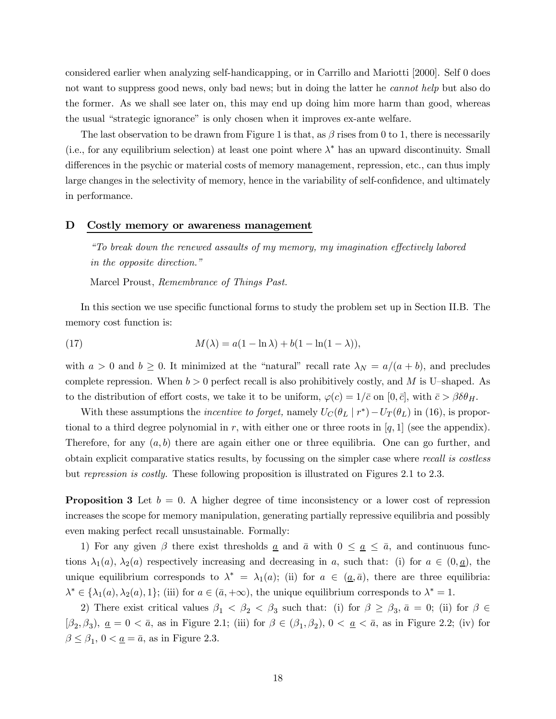considered earlier when analyzing self-handicapping, or in Carrillo and Mariotti [2000]. Self 0 does not want to suppress good news, only bad news; but in doing the latter he *cannot help* but also do the former. As we shall see later on, this may end up doing him more harm than good, whereas the usual "strategic ignorance" is only chosen when it improves ex-ante welfare.

The last observation to be drawn from Figure 1 is that, as  $\beta$  rises from 0 to 1, there is necessarily (i.e., for any equilibrium selection) at least one point where  $\lambda^*$  has an upward discontinuity. Small differences in the psychic or material costs of memory management, repression, etc., can thus imply large changes in the selectivity of memory, hence in the variability of self-confidence, and ultimately in performance.

#### D Costly memory or awareness management

"To break down the renewed assaults of my memory, my imagination effectively labored in the opposite direction."

Marcel Proust, Remembrance of Things Past.

In this section we use specific functional forms to study the problem set up in Section II.B. The memory cost function is:

(17) 
$$
M(\lambda) = a(1 - \ln \lambda) + b(1 - \ln(1 - \lambda)),
$$

with  $a > 0$  and  $b \ge 0$ . It minimized at the "natural" recall rate  $\lambda_N = a/(a + b)$ , and precludes complete repression. When  $b > 0$  perfect recall is also prohibitively costly, and M is U-shaped. As to the distribution of effort costs, we take it to be uniform,  $\varphi(c)=1/\bar{c}$  on  $[0,\bar{c}],$  with  $\bar{c}>\beta\delta\theta_H$ .

With these assumptions the *incentive to forget*, namely  $U_C(\theta_L | r^*) - U_T(\theta_L)$  in (16), is proportional to a third degree polynomial in r, with either one or three roots in  $[q, 1]$  (see the appendix). Therefore, for any  $(a, b)$  there are again either one or three equilibria. One can go further, and obtain explicit comparative statics results, by focussing on the simpler case where recall is costless but repression is costly. These following proposition is illustrated on Figures 2.1 to 2.3.

**Proposition 3** Let  $b = 0$ . A higher degree of time inconsistency or a lower cost of repression increases the scope for memory manipulation, generating partially repressive equilibria and possibly even making perfect recall unsustainable. Formally:

1) For any given  $\beta$  there exist thresholds <u>a</u> and  $\bar{a}$  with  $0 \leq \underline{a} \leq \bar{a}$ , and continuous functions  $\lambda_1(a)$ ,  $\lambda_2(a)$  respectively increasing and decreasing in a, such that: (i) for  $a \in (0, \underline{a})$ , the unique equilibrium corresponds to  $\lambda^* = \lambda_1(a)$ ; (ii) for  $a \in (a, \bar{a})$ , there are three equilibria:  $\lambda^* \in {\lambda_1(a), \lambda_2(a), 1}$ ; (iii) for  $a \in (\bar{a}, +\infty)$ , the unique equilibrium corresponds to  $\lambda^* = 1$ .

2) There exist critical values  $\beta_1 < \beta_2 < \beta_3$  such that: (i) for  $\beta \ge \beta_3$ ,  $\bar{a} = 0$ ; (ii) for  $\beta \in$  $[\beta_2, \beta_3], \underline{a} = 0 < \overline{a}$ , as in Figure 2.1; (iii) for  $\beta \in (\beta_1, \beta_2), 0 < \underline{a} < \overline{a}$ , as in Figure 2.2; (iv) for  $\beta \leq \beta_1$ ,  $0 < \underline{a} = \overline{a}$ , as in Figure 2.3.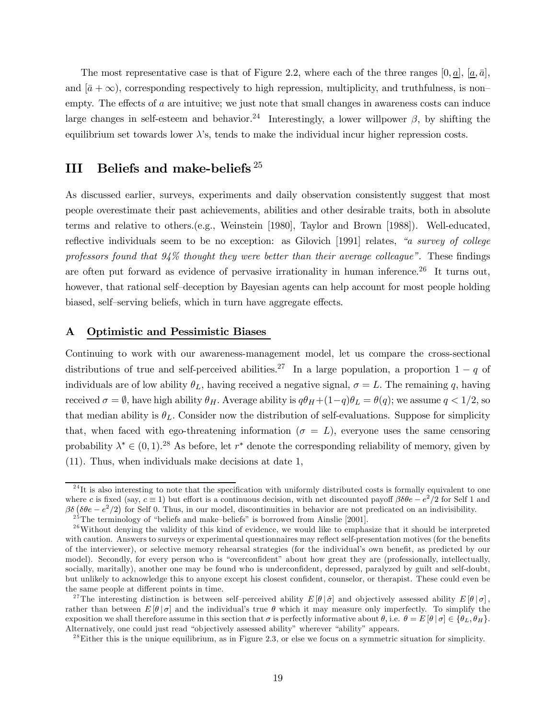The most representative case is that of Figure 2.2, where each of the three ranges  $[0, \underline{a}], [\underline{a}, \overline{a}],$ and  $[\bar{a} + \infty)$ , corresponding respectively to high repression, multiplicity, and truthfulness, is nonempty. The effects of a are intuitive; we just note that small changes in awareness costs can induce large changes in self-esteem and behavior.<sup>24</sup> Interestingly, a lower willpower  $\beta$ , by shifting the equilibrium set towards lower  $\lambda$ 's, tends to make the individual incur higher repression costs.

# III Beliefs and make-beliefs <sup>25</sup>

As discussed earlier, surveys, experiments and daily observation consistently suggest that most people overestimate their past achievements, abilities and other desirable traits, both in absolute terms and relative to others.(e.g., Weinstein [1980], Taylor and Brown [1988]). Well-educated, reflective individuals seem to be no exception: as Gilovich [1991] relates, "a survey of college professors found that  $94\%$  thought they were better than their average colleague". These findings are often put forward as evidence of pervasive irrationality in human inference.<sup>26</sup> It turns out, however, that rational self—deception by Bayesian agents can help account for most people holding biased, self—serving beliefs, which in turn have aggregate effects.

#### A Optimistic and Pessimistic Biases

Continuing to work with our awareness-management model, let us compare the cross-sectional distributions of true and self-perceived abilities.<sup>27</sup> In a large population, a proportion  $1 - q$  of individuals are of low ability  $\theta_L$ , having received a negative signal,  $\sigma = L$ . The remaining q, having received  $\sigma = \emptyset$ , have high ability  $\theta_H$ . Average ability is  $q\theta_H + (1-q)\theta_L = \theta(q)$ ; we assume  $q < 1/2$ , so that median ability is  $\theta_L$ . Consider now the distribution of self-evaluations. Suppose for simplicity that, when faced with ego-threatening information ( $\sigma = L$ ), everyone uses the same censoring probability  $\lambda^* \in (0, 1)$ .<sup>28</sup> As before, let  $r^*$  denote the corresponding reliability of memory, given by (11). Thus, when individuals make decisions at date 1,

 $^{24}$ It is also interesting to note that the specification with uniformly distributed costs is formally equivalent to one where c is fixed (say,  $c \equiv 1$ ) but effort is a continuous decision, with net discounted payoff  $\beta \delta \theta e - e^2/2$  for Self 1 and  $\beta \delta (\theta e - e^2/2)$  for Self 0. Thus, in our model, discontinuities in behavior are not predicated on an indivisibility.

 $^{25}$ The terminology of "beliefs and make-beliefs" is borrowed from Ainslie [2001].

 $26$ Without denying the validity of this kind of evidence, we would like to emphasize that it should be interpreted with caution. Answers to surveys or experimental questionnaires may reflect self-presentation motives (for the benefits of the interviewer), or selective memory rehearsal strategies (for the individual's own benefit, as predicted by our model). Secondly, for every person who is "overconfident" about how great they are (professionally, intellectually, socially, maritally), another one may be found who is underconfident, depressed, paralyzed by guilt and self-doubt, but unlikely to acknowledge this to anyone except his closest confident, counselor, or therapist. These could even be the same people at different points in time.

<sup>&</sup>lt;sup>27</sup>The interesting distinction is between self-perceived ability  $E[\theta|\hat{\sigma}]$  and objectively assessed ability  $E[\theta|\sigma]$ , rather than between  $E[\theta | \sigma]$  and the individual's true  $\theta$  which it may measure only imperfectly. To simplify the exposition we shall therefore assume in this section that  $\sigma$  is perfectly informative about  $\theta$ , i.e.  $\theta = E[\theta | \sigma] \in {\theta_L, \theta_H}$ . Alternatively, one could just read "objectively assessed ability" wherever "ability" appears.

 $2<sup>28</sup>$  Either this is the unique equilibrium, as in Figure 2.3, or else we focus on a symmetric situation for simplicity.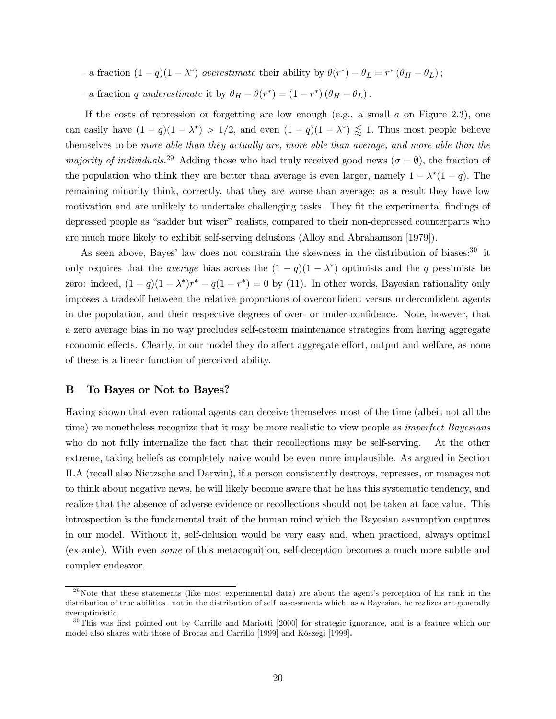- a fraction  $(1 q)(1 \lambda^*)$  overestimate their ability by  $\theta(r^*) \theta_L = r^* (\theta_H \theta_L);$
- a fraction q underestimate it by  $\theta_H \theta(r^*) = (1 r^*) (\theta_H \theta_L)$ .

If the costs of repression or forgetting are low enough (e.g., a small  $a$  on Figure 2.3), one can easily have  $(1 - q)(1 - \lambda^*) > 1/2$ , and even  $(1 - q)(1 - \lambda^*) \leq 1$ . Thus most people believe themselves to be more able than they actually are, more able than average, and more able than the majority of individuals.<sup>29</sup> Adding those who had truly received good news ( $\sigma = \emptyset$ ), the fraction of the population who think they are better than average is even larger, namely  $1 - \lambda^*(1 - q)$ . The remaining minority think, correctly, that they are worse than average; as a result they have low motivation and are unlikely to undertake challenging tasks. They fit the experimental findings of depressed people as "sadder but wiser" realists, compared to their non-depressed counterparts who are much more likely to exhibit self-serving delusions (Alloy and Abrahamson [1979]).

As seen above, Bayes' law does not constrain the skewness in the distribution of biases:<sup>30</sup> it only requires that the *average* bias across the  $(1 - q)(1 - \lambda^*)$  optimists and the q pessimists be zero: indeed,  $(1 - q)(1 - \lambda^*)r^* - q(1 - r^*) = 0$  by (11). In other words, Bayesian rationality only imposes a tradeoff between the relative proportions of overconfident versus underconfident agents in the population, and their respective degrees of over- or under-confidence. Note, however, that a zero average bias in no way precludes self-esteem maintenance strategies from having aggregate economic effects. Clearly, in our model they do affect aggregate effort, output and welfare, as none of these is a linear function of perceived ability.

#### B To Bayes or Not to Bayes?

Having shown that even rational agents can deceive themselves most of the time (albeit not all the time) we nonetheless recognize that it may be more realistic to view people as *imperfect Bayesians* who do not fully internalize the fact that their recollections may be self-serving. At the other extreme, taking beliefs as completely naive would be even more implausible. As argued in Section II.A (recall also Nietzsche and Darwin), if a person consistently destroys, represses, or manages not to think about negative news, he will likely become aware that he has this systematic tendency, and realize that the absence of adverse evidence or recollections should not be taken at face value. This introspection is the fundamental trait of the human mind which the Bayesian assumption captures in our model. Without it, self-delusion would be very easy and, when practiced, always optimal (ex-ante). With even some of this metacognition, self-deception becomes a much more subtle and complex endeavor.

 $29$ Note that these statements (like most experimental data) are about the agent's perception of his rank in the distribution of true abilities —not in the distribution of self—assessments which, as a Bayesian, he realizes are generally overoptimistic.

<sup>&</sup>lt;sup>30</sup>This was first pointed out by Carrillo and Mariotti [2000] for strategic ignorance, and is a feature which our model also shares with those of Brocas and Carrillo [1999] and Köszegi [1999].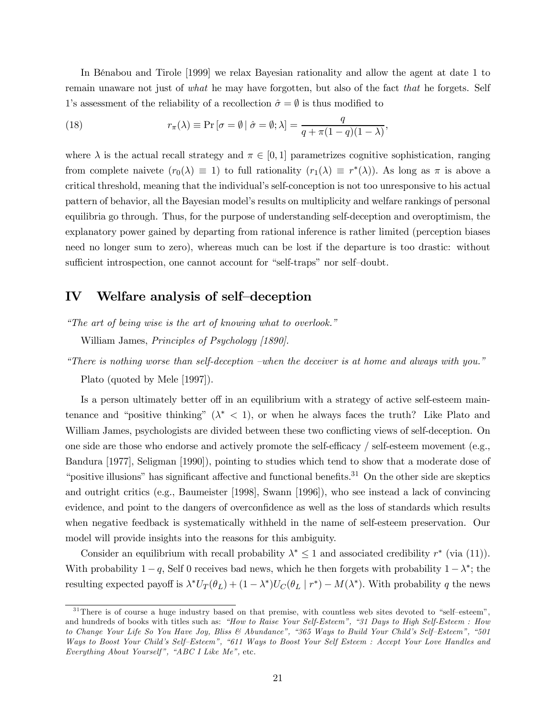In Bénabou and Tirole [1999] we relax Bayesian rationality and allow the agent at date 1 to remain unaware not just of what he may have forgotten, but also of the fact that he forgets. Self 1's assessment of the reliability of a recollection  $\hat{\sigma} = \emptyset$  is thus modified to

(18) 
$$
r_{\pi}(\lambda) \equiv \Pr\left[\sigma = \emptyset \mid \hat{\sigma} = \emptyset; \lambda\right] = \frac{q}{q + \pi(1 - q)(1 - \lambda)},
$$

where  $\lambda$  is the actual recall strategy and  $\pi \in [0, 1]$  parametrizes cognitive sophistication, ranging from complete naivete  $(r_0(\lambda) \equiv 1)$  to full rationality  $(r_1(\lambda) \equiv r^*(\lambda))$ . As long as  $\pi$  is above a critical threshold, meaning that the individual's self-conception is not too unresponsive to his actual pattern of behavior, all the Bayesian model's results on multiplicity and welfare rankings of personal equilibria go through. Thus, for the purpose of understanding self-deception and overoptimism, the explanatory power gained by departing from rational inference is rather limited (perception biases need no longer sum to zero), whereas much can be lost if the departure is too drastic: without sufficient introspection, one cannot account for "self-traps" nor self—doubt.

# IV Welfare analysis of self—deception

"The art of being wise is the art of knowing what to overlook."

William James, *Principles of Psychology* [1890].

"There is nothing worse than self-deception —when the deceiver is at home and always with you." Plato (quoted by Mele [1997]).

Is a person ultimately better off in an equilibrium with a strategy of active self-esteem maintenance and "positive thinking" ( $\lambda^*$  < 1), or when he always faces the truth? Like Plato and William James, psychologists are divided between these two conflicting views of self-deception. On one side are those who endorse and actively promote the self-efficacy / self-esteem movement (e.g., Bandura [1977], Seligman [1990]), pointing to studies which tend to show that a moderate dose of "positive illusions" has significant affective and functional benefits.<sup>31</sup> On the other side are skeptics and outright critics (e.g., Baumeister [1998], Swann [1996]), who see instead a lack of convincing evidence, and point to the dangers of overconfidence as well as the loss of standards which results when negative feedback is systematically withheld in the name of self-esteem preservation. Our model will provide insights into the reasons for this ambiguity.

Consider an equilibrium with recall probability  $\lambda^* \leq 1$  and associated credibility  $r^*$  (via (11)). With probability  $1-q$ , Self 0 receives bad news, which he then forgets with probability  $1-\lambda^*$ ; the resulting expected payoff is  $\lambda^* U_T(\theta_L) + (1 - \lambda^*) U_C(\theta_L \mid r^*) - M(\lambda^*)$ . With probability q the news

 $31$ There is of course a huge industry based on that premise, with countless web sites devoted to "self-esteem", and hundreds of books with titles such as: "How to Raise Your Self-Esteem", "31 Days to High Self-Esteem : How to Change Your Life So You Have Joy, Bliss & Abundance", "365 Ways to Build Your Child's Self—Esteem", "501 Ways to Boost Your Child's Self—Esteem", "611 Ways to Boost Your Self Esteem : Accept Your Love Handles and Everything About Yourself", "ABC I Like Me", etc.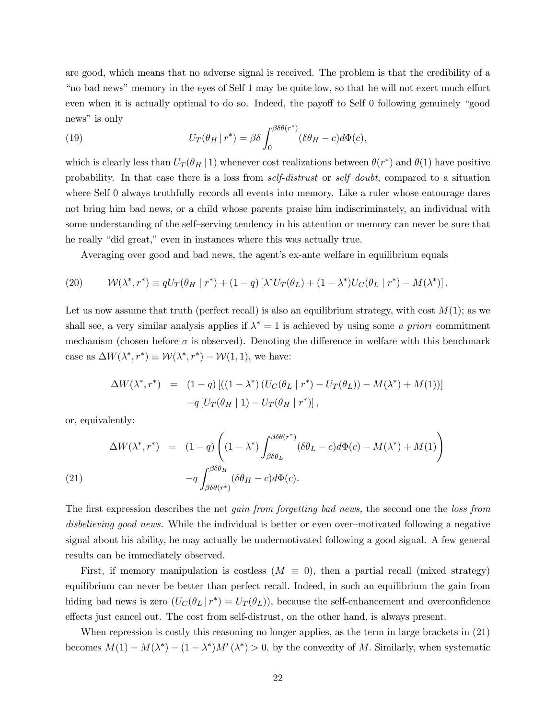are good, which means that no adverse signal is received. The problem is that the credibility of a "no bad news" memory in the eyes of Self 1 may be quite low, so that he will not exert much effort even when it is actually optimal to do so. Indeed, the payoff to Self 0 following genuinely "good news" is only

(19) 
$$
U_T(\theta_H | r^*) = \beta \delta \int_0^{\beta \delta \theta(r^*)} (\delta \theta_H - c) d\Phi(c),
$$

which is clearly less than  $U_T(\theta_H | 1)$  whenever cost realizations between  $\theta(r^*)$  and  $\theta(1)$  have positive probability. In that case there is a loss from self-distrust or self—doubt, compared to a situation where Self 0 always truthfully records all events into memory. Like a ruler whose entourage dares not bring him bad news, or a child whose parents praise him indiscriminately, an individual with some understanding of the self—serving tendency in his attention or memory can never be sure that he really "did great," even in instances where this was actually true.

Averaging over good and bad news, the agent's ex-ante welfare in equilibrium equals

(20) 
$$
\mathcal{W}(\lambda^*, r^*) \equiv qU_T(\theta_H \mid r^*) + (1-q)\left[\lambda^* U_T(\theta_L) + (1-\lambda^*)U_C(\theta_L \mid r^*) - M(\lambda^*)\right].
$$

Let us now assume that truth (perfect recall) is also an equilibrium strategy, with cost  $M(1)$ ; as we shall see, a very similar analysis applies if  $\lambda^* = 1$  is achieved by using some a priori commitment mechanism (chosen before  $\sigma$  is observed). Denoting the difference in welfare with this benchmark case as  $\Delta W(\lambda^*, r^*) \equiv \mathcal{W}(\lambda^*, r^*) - \mathcal{W}(1, 1)$ , we have:

$$
\Delta W(\lambda^*, r^*) = (1-q) [((1 - \lambda^*) (U_C(\theta_L \mid r^*) - U_T(\theta_L)) - M(\lambda^*) + M(1))]
$$
  
-q [U\_T(\theta\_H \mid 1) - U\_T(\theta\_H \mid r^\*)],

or, equivalently:

$$
\Delta W(\lambda^*, r^*) = (1-q) \left( (1-\lambda^*) \int_{\beta \delta \theta_L}^{\beta \delta \theta(r^*)} (\delta \theta_L - c) d\Phi(c) - M(\lambda^*) + M(1) \right)
$$
  
(21)
$$
-q \int_{\beta \delta \theta(r^*)}^{\beta \delta \theta_H} (\delta \theta_H - c) d\Phi(c).
$$

The first expression describes the net *gain from forgetting bad news*, the second one the *loss from* disbelieving good news. While the individual is better or even over-motivated following a negative signal about his ability, he may actually be undermotivated following a good signal. A few general results can be immediately observed.

First, if memory manipulation is costless  $(M \equiv 0)$ , then a partial recall (mixed strategy) equilibrium can never be better than perfect recall. Indeed, in such an equilibrium the gain from hiding bad news is zero  $(U_C(\theta_L | r^*) = U_T(\theta_L))$ , because the self-enhancement and overconfidence effects just cancel out. The cost from self-distrust, on the other hand, is always present.

When repression is costly this reasoning no longer applies, as the term in large brackets in (21) becomes  $M(1) - M(\lambda^*) - (1 - \lambda^*)M'(\lambda^*) > 0$ , by the convexity of M. Similarly, when systematic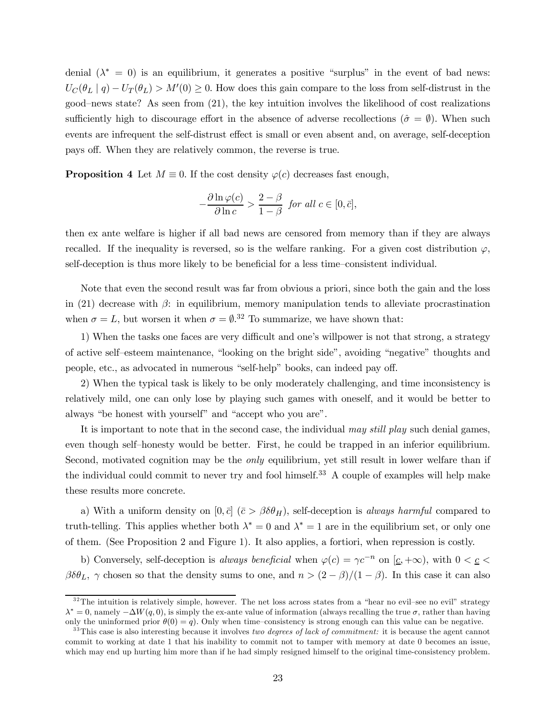denial  $(\lambda^* = 0)$  is an equilibrium, it generates a positive "surplus" in the event of bad news:  $U_C(\theta_L | q) - U_T(\theta_L) > M'(0) \ge 0$ . How does this gain compare to the loss from self-distrust in the good—news state? As seen from (21), the key intuition involves the likelihood of cost realizations sufficiently high to discourage effort in the absence of adverse recollections ( $\hat{\sigma} = \emptyset$ ). When such events are infrequent the self-distrust effect is small or even absent and, on average, self-deception pays off. When they are relatively common, the reverse is true.

**Proposition 4** Let  $M \equiv 0$ . If the cost density  $\varphi(c)$  decreases fast enough,

$$
-\frac{\partial \ln \varphi(c)}{\partial \ln c} > \frac{2-\beta}{1-\beta} \text{ for all } c \in [0, \bar{c}],
$$

then ex ante welfare is higher if all bad news are censored from memory than if they are always recalled. If the inequality is reversed, so is the welfare ranking. For a given cost distribution  $\varphi$ , self-deception is thus more likely to be beneficial for a less time—consistent individual.

Note that even the second result was far from obvious a priori, since both the gain and the loss in (21) decrease with  $\beta$ : in equilibrium, memory manipulation tends to alleviate procrastination when  $\sigma = L$ , but worsen it when  $\sigma = \emptyset$ .<sup>32</sup> To summarize, we have shown that:

1) When the tasks one faces are very difficult and one's willpower is not that strong, a strategy of active self—esteem maintenance, "looking on the bright side", avoiding "negative" thoughts and people, etc., as advocated in numerous "self-help" books, can indeed pay off.

2) When the typical task is likely to be only moderately challenging, and time inconsistency is relatively mild, one can only lose by playing such games with oneself, and it would be better to always "be honest with yourself" and "accept who you are".

It is important to note that in the second case, the individual may still play such denial games, even though self—honesty would be better. First, he could be trapped in an inferior equilibrium. Second, motivated cognition may be the *only* equilibrium, yet still result in lower welfare than if the individual could commit to never try and fool himself.<sup>33</sup> A couple of examples will help make these results more concrete.

a) With a uniform density on  $[0, \bar{c}]$   $(\bar{c} > \beta \delta \theta_H)$ , self-deception is always harmful compared to truth-telling. This applies whether both  $\lambda^* = 0$  and  $\lambda^* = 1$  are in the equilibrium set, or only one of them. (See Proposition 2 and Figure 1). It also applies, a fortiori, when repression is costly.

b) Conversely, self-deception is always beneficial when  $\varphi(c) = \gamma c^{-n}$  on  $[c, +\infty)$ , with  $0 < \underline{c} <$  $\beta \delta \theta_L$ ,  $\gamma$  chosen so that the density sums to one, and  $n > (2 - \beta)/(1 - \beta)$ . In this case it can also

 $3<sup>32</sup>$ The intuition is relatively simple, however. The net loss across states from a "hear no evil—see no evil" strategy  $\lambda^* = 0$ , namely  $-\Delta W(q, 0)$ , is simply the ex-ante value of information (always recalling the true  $\sigma$ , rather than having only the uninformed prior  $\theta(0) = q$ . Only when time-consistency is strong enough can this value can be negative.

 $33$ This case is also interesting because it involves two degrees of lack of commitment: it is because the agent cannot commit to working at date 1 that his inability to commit not to tamper with memory at date 0 becomes an issue, which may end up hurting him more than if he had simply resigned himself to the original time-consistency problem.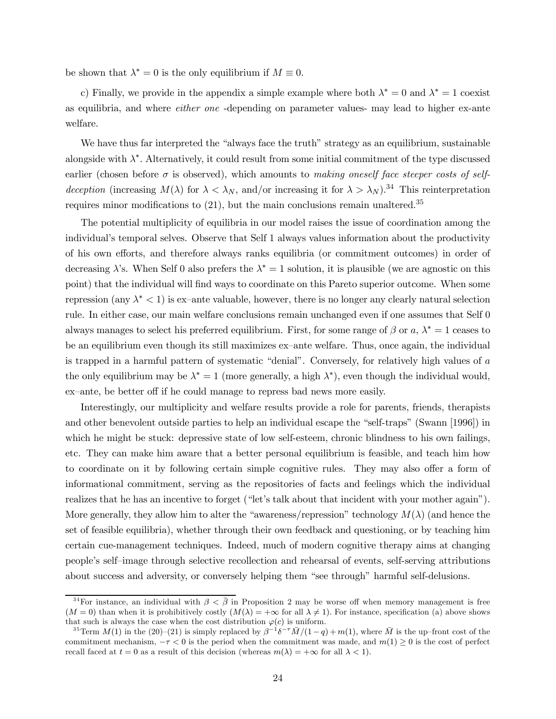be shown that  $\lambda^* = 0$  is the only equilibrium if  $M \equiv 0$ .

c) Finally, we provide in the appendix a simple example where both  $\lambda^* = 0$  and  $\lambda^* = 1$  coexist as equilibria, and where *either one* -depending on parameter values- may lead to higher ex-ante welfare.

We have thus far interpreted the "always face the truth" strategy as an equilibrium, sustainable alongside with  $\lambda^*$ . Alternatively, it could result from some initial commitment of the type discussed earlier (chosen before  $\sigma$  is observed), which amounts to making oneself face steeper costs of selfdeception (increasing  $M(\lambda)$  for  $\lambda < \lambda_N$ , and/or increasing it for  $\lambda > \lambda_N$ ).<sup>34</sup> This reinterpretation requires minor modifications to  $(21)$ , but the main conclusions remain unaltered.<sup>35</sup>

The potential multiplicity of equilibria in our model raises the issue of coordination among the individual's temporal selves. Observe that Self 1 always values information about the productivity of his own efforts, and therefore always ranks equilibria (or commitment outcomes) in order of decreasing  $\lambda$ 's. When Self 0 also prefers the  $\lambda^* = 1$  solution, it is plausible (we are agnostic on this point) that the individual will find ways to coordinate on this Pareto superior outcome. When some repression (any  $\lambda^*$  < 1) is ex–ante valuable, however, there is no longer any clearly natural selection rule. In either case, our main welfare conclusions remain unchanged even if one assumes that Self 0 always manages to select his preferred equilibrium. First, for some range of  $\beta$  or  $a, \lambda^* = 1$  ceases to be an equilibrium even though its still maximizes ex—ante welfare. Thus, once again, the individual is trapped in a harmful pattern of systematic "denial". Conversely, for relatively high values of a the only equilibrium may be  $\lambda^* = 1$  (more generally, a high  $\lambda^*$ ), even though the individual would, ex—ante, be better off if he could manage to repress bad news more easily.

Interestingly, our multiplicity and welfare results provide a role for parents, friends, therapists and other benevolent outside parties to help an individual escape the "self-traps" (Swann [1996]) in which he might be stuck: depressive state of low self-esteem, chronic blindness to his own failings, etc. They can make him aware that a better personal equilibrium is feasible, and teach him how to coordinate on it by following certain simple cognitive rules. They may also offer a form of informational commitment, serving as the repositories of facts and feelings which the individual realizes that he has an incentive to forget ("let's talk about that incident with your mother again"). More generally, they allow him to alter the "awareness/repression" technology  $M(\lambda)$  (and hence the set of feasible equilibria), whether through their own feedback and questioning, or by teaching him certain cue-management techniques. Indeed, much of modern cognitive therapy aims at changing people's self—image through selective recollection and rehearsal of events, self-serving attributions about success and adversity, or conversely helping them "see through" harmful self-delusions.

<sup>&</sup>lt;sup>34</sup>For instance, an individual with  $\beta < \bar{\beta}$  in Proposition 2 may be worse off when memory management is free  $(M = 0)$  than when it is prohibitively costly  $(M(\lambda) = +\infty$  for all  $\lambda \neq 1$ . For instance, specification (a) above shows that such is always the case when the cost distribution  $\varphi(c)$  is uniform.

<sup>&</sup>lt;sup>35</sup>Term  $M(1)$  in the (20)–(21) is simply replaced by  $\beta^{-1}\delta^{-\tau}\bar{M}/(1-q) + m(1)$ , where  $\bar{M}$  is the up–front cost of the commitment mechanism,  $-\tau < 0$  is the period when the commitment was made, and  $m(1) \ge 0$  is the cost of perfect recall faced at  $t = 0$  as a result of this decision (whereas  $m(\lambda) = +\infty$  for all  $\lambda < 1$ ).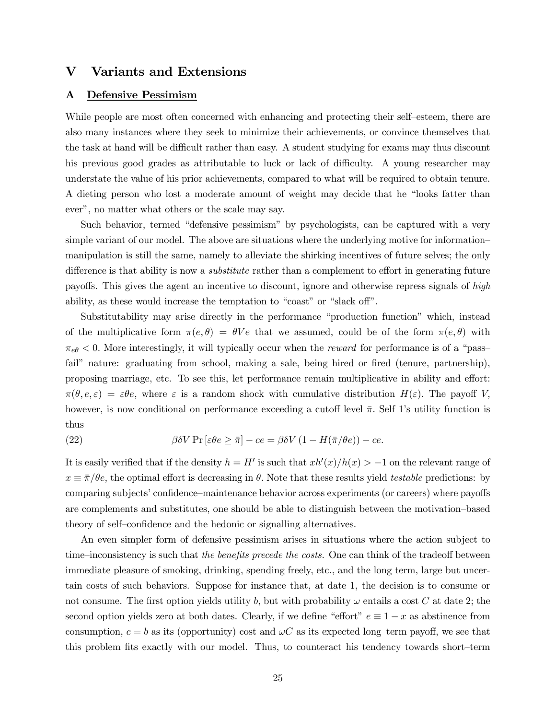# V Variants and Extensions

#### A Defensive Pessimism

While people are most often concerned with enhancing and protecting their self—esteem, there are also many instances where they seek to minimize their achievements, or convince themselves that the task at hand will be difficult rather than easy. A student studying for exams may thus discount his previous good grades as attributable to luck or lack of difficulty. A young researcher may understate the value of his prior achievements, compared to what will be required to obtain tenure. A dieting person who lost a moderate amount of weight may decide that he "looks fatter than ever", no matter what others or the scale may say.

Such behavior, termed "defensive pessimism" by psychologists, can be captured with a very simple variant of our model. The above are situations where the underlying motive for information manipulation is still the same, namely to alleviate the shirking incentives of future selves; the only difference is that ability is now a *substitute* rather than a complement to effort in generating future payoffs. This gives the agent an incentive to discount, ignore and otherwise repress signals of high ability, as these would increase the temptation to "coast" or "slack off".

Substitutability may arise directly in the performance "production function" which, instead of the multiplicative form  $\pi(e, \theta) = \theta V e$  that we assumed, could be of the form  $\pi(e, \theta)$  with  $\pi_{e\theta}$  < 0. More interestingly, it will typically occur when the *reward* for performance is of a "passfail" nature: graduating from school, making a sale, being hired or fired (tenure, partnership), proposing marriage, etc. To see this, let performance remain multiplicative in ability and effort:  $\pi(\theta, e, \varepsilon) = \varepsilon \theta e$ , where  $\varepsilon$  is a random shock with cumulative distribution  $H(\varepsilon)$ . The payoff V, however, is now conditional on performance exceeding a cutoff level  $\bar{\pi}$ . Self 1's utility function is thus

(22) 
$$
\beta \delta V \Pr \left[\varepsilon \theta e \geq \bar{\pi}\right] - ce = \beta \delta V \left(1 - H(\bar{\pi}/\theta e)\right) - ce.
$$

It is easily verified that if the density  $h = H'$  is such that  $xh'(x)/h(x) > -1$  on the relevant range of  $x \equiv \bar{\pi}/\theta e$ , the optimal effort is decreasing in  $\theta$ . Note that these results yield *testable* predictions: by comparing subjects' confidence—maintenance behavior across experiments (or careers) where payoffs are complements and substitutes, one should be able to distinguish between the motivation—based theory of self—confidence and the hedonic or signalling alternatives.

An even simpler form of defensive pessimism arises in situations where the action subject to time–inconsistency is such that the benefits precede the costs. One can think of the tradeoff between immediate pleasure of smoking, drinking, spending freely, etc., and the long term, large but uncertain costs of such behaviors. Suppose for instance that, at date 1, the decision is to consume or not consume. The first option yields utility b, but with probability  $\omega$  entails a cost C at date 2; the second option yields zero at both dates. Clearly, if we define "effort"  $e \equiv 1 - x$  as abstinence from consumption,  $c = b$  as its (opportunity) cost and  $\omega C$  as its expected long-term payoff, we see that this problem fits exactly with our model. Thus, to counteract his tendency towards short—term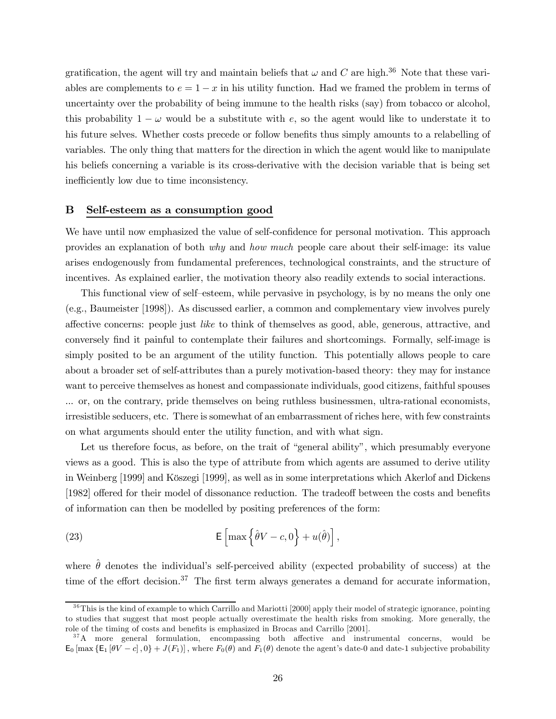gratification, the agent will try and maintain beliefs that  $\omega$  and C are high.<sup>36</sup> Note that these variables are complements to  $e = 1 - x$  in his utility function. Had we framed the problem in terms of uncertainty over the probability of being immune to the health risks (say) from tobacco or alcohol, this probability  $1 - \omega$  would be a substitute with e, so the agent would like to understate it to his future selves. Whether costs precede or follow benefits thus simply amounts to a relabelling of variables. The only thing that matters for the direction in which the agent would like to manipulate his beliefs concerning a variable is its cross-derivative with the decision variable that is being set inefficiently low due to time inconsistency.

#### B Self-esteem as a consumption good

We have until now emphasized the value of self-confidence for personal motivation. This approach provides an explanation of both why and how much people care about their self-image: its value arises endogenously from fundamental preferences, technological constraints, and the structure of incentives. As explained earlier, the motivation theory also readily extends to social interactions.

This functional view of self—esteem, while pervasive in psychology, is by no means the only one (e.g., Baumeister [1998]). As discussed earlier, a common and complementary view involves purely affective concerns: people just like to think of themselves as good, able, generous, attractive, and conversely find it painful to contemplate their failures and shortcomings. Formally, self-image is simply posited to be an argument of the utility function. This potentially allows people to care about a broader set of self-attributes than a purely motivation-based theory: they may for instance want to perceive themselves as honest and compassionate individuals, good citizens, faithful spouses ... or, on the contrary, pride themselves on being ruthless businessmen, ultra-rational economists, irresistible seducers, etc. There is somewhat of an embarrassment of riches here, with few constraints on what arguments should enter the utility function, and with what sign.

Let us therefore focus, as before, on the trait of "general ability", which presumably everyone views as a good. This is also the type of attribute from which agents are assumed to derive utility in Weinberg [1999] and Köszegi [1999], as well as in some interpretations which Akerlof and Dickens [1982] offered for their model of dissonance reduction. The tradeoff between the costs and benefits of information can then be modelled by positing preferences of the form:

(23) 
$$
\mathsf{E}\left[\max\left\{\hat{\theta}V-c,0\right\}+u(\hat{\theta})\right],
$$

where  $\hat{\theta}$  denotes the individual's self-perceived ability (expected probability of success) at the time of the effort decision.<sup>37</sup> The first term always generates a demand for accurate information,

 $36$ This is the kind of example to which Carrillo and Mariotti [2000] apply their model of strategic ignorance, pointing to studies that suggest that most people actually overestimate the health risks from smoking. More generally, the role of the timing of costs and benefits is emphasized in Brocas and Carrillo [2001].

<sup>&</sup>lt;sup>37</sup>A more general formulation, encompassing both affective and instrumental concerns, would be  $\mathsf{E}_0$  [max  $\{\mathsf{E}_1[\theta V - c], 0\} + J(F_1)$ ], where  $F_0(\theta)$  and  $F_1(\theta)$  denote the agent's date-0 and date-1 subjective probability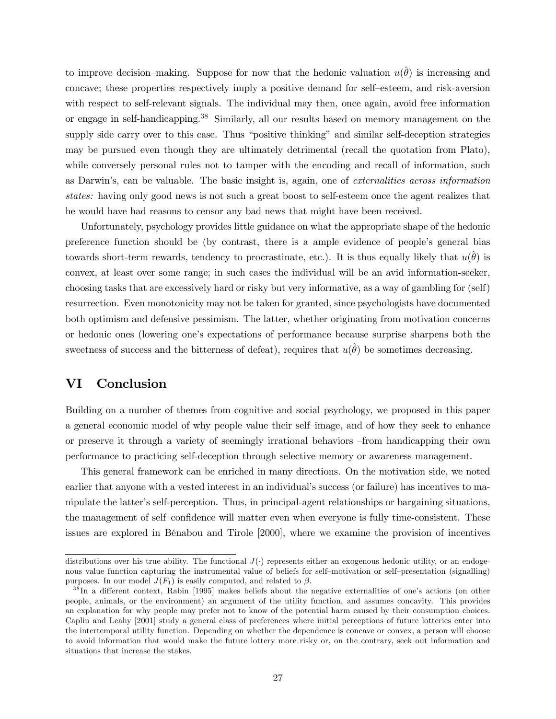to improve decision–making. Suppose for now that the hedonic valuation  $u(\hat{\theta})$  is increasing and concave; these properties respectively imply a positive demand for self—esteem, and risk-aversion with respect to self-relevant signals. The individual may then, once again, avoid free information or engage in self-handicapping.<sup>38</sup> Similarly, all our results based on memory management on the supply side carry over to this case. Thus "positive thinking" and similar self-deception strategies may be pursued even though they are ultimately detrimental (recall the quotation from Plato), while conversely personal rules not to tamper with the encoding and recall of information, such as Darwin's, can be valuable. The basic insight is, again, one of externalities across information states: having only good news is not such a great boost to self-esteem once the agent realizes that he would have had reasons to censor any bad news that might have been received.

Unfortunately, psychology provides little guidance on what the appropriate shape of the hedonic preference function should be (by contrast, there is a ample evidence of people's general bias towards short-term rewards, tendency to procrastinate, etc.). It is thus equally likely that  $u(\theta)$  is convex, at least over some range; in such cases the individual will be an avid information-seeker, choosing tasks that are excessively hard or risky but very informative, as a way of gambling for (self) resurrection. Even monotonicity may not be taken for granted, since psychologists have documented both optimism and defensive pessimism. The latter, whether originating from motivation concerns or hedonic ones (lowering one's expectations of performance because surprise sharpens both the sweetness of success and the bitterness of defeat), requires that  $u(\hat{\theta})$  be sometimes decreasing.

# VI Conclusion

Building on a number of themes from cognitive and social psychology, we proposed in this paper a general economic model of why people value their self—image, and of how they seek to enhance or preserve it through a variety of seemingly irrational behaviors —from handicapping their own performance to practicing self-deception through selective memory or awareness management.

This general framework can be enriched in many directions. On the motivation side, we noted earlier that anyone with a vested interest in an individual's success (or failure) has incentives to manipulate the latter's self-perception. Thus, in principal-agent relationships or bargaining situations, the management of self—confidence will matter even when everyone is fully time-consistent. These issues are explored in Bénabou and Tirole [2000], where we examine the provision of incentives

distributions over his true ability. The functional  $J(\cdot)$  represents either an exogenous hedonic utility, or an endogenous value function capturing the instrumental value of beliefs for self—motivation or self—presentation (signalling) purposes. In our model  $J(F_1)$  is easily computed, and related to  $\beta$ .

<sup>&</sup>lt;sup>38</sup>In a different context, Rabin [1995] makes beliefs about the negative externalities of one's actions (on other people, animals, or the environment) an argument of the utility function, and assumes concavity. This provides an explanation for why people may prefer not to know of the potential harm caused by their consumption choices. Caplin and Leahy [2001] study a general class of preferences where initial perceptions of future lotteries enter into the intertemporal utility function. Depending on whether the dependence is concave or convex, a person will choose to avoid information that would make the future lottery more risky or, on the contrary, seek out information and situations that increase the stakes.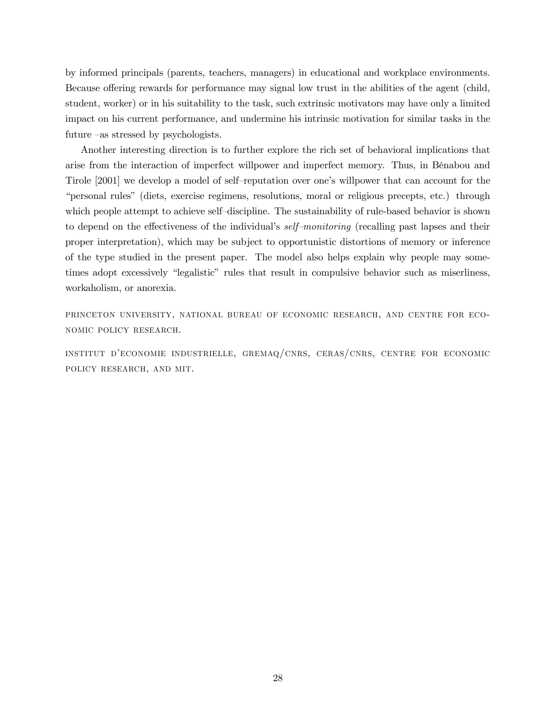by informed principals (parents, teachers, managers) in educational and workplace environments. Because offering rewards for performance may signal low trust in the abilities of the agent (child, student, worker) or in his suitability to the task, such extrinsic motivators may have only a limited impact on his current performance, and undermine his intrinsic motivation for similar tasks in the future —as stressed by psychologists.

Another interesting direction is to further explore the rich set of behavioral implications that arise from the interaction of imperfect willpower and imperfect memory. Thus, in Bénabou and Tirole [2001] we develop a model of self—reputation over one's willpower that can account for the "personal rules" (diets, exercise regimens, resolutions, moral or religious precepts, etc.) through which people attempt to achieve self-discipline. The sustainability of rule-based behavior is shown to depend on the effectiveness of the individual's self-monitoring (recalling past lapses and their proper interpretation), which may be subject to opportunistic distortions of memory or inference of the type studied in the present paper. The model also helps explain why people may sometimes adopt excessively "legalistic" rules that result in compulsive behavior such as miserliness, workaholism, or anorexia.

princeton university, national bureau of economic research, and centre for economic policy research.

institut d'economie industrielle, gremaq/cnrs, ceras/cnrs, centre for economic policy research, and mit.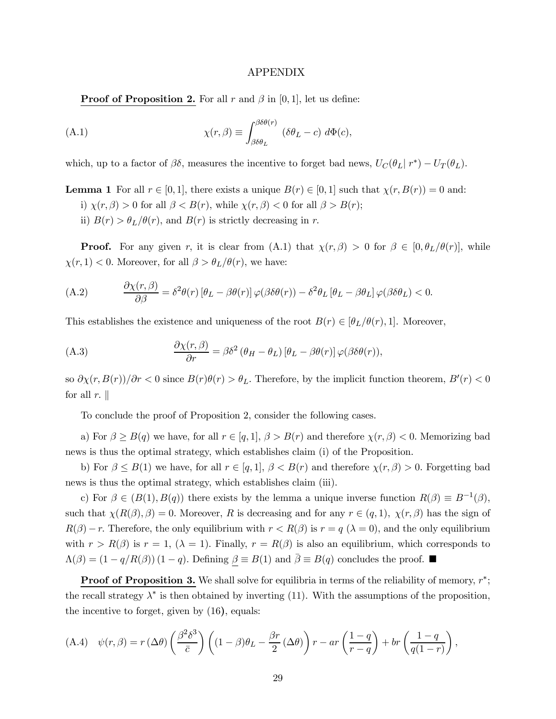#### APPENDIX

**Proof of Proposition 2.** For all r and  $\beta$  in [0, 1], let us define:

(A.1) 
$$
\chi(r,\beta) \equiv \int_{\beta\delta\theta_L}^{\beta\delta\theta(r)} (\delta\theta_L - c) d\Phi(c),
$$

which, up to a factor of  $\beta \delta$ , measures the incentive to forget bad news,  $U_C(\theta_L | r^*) - U_T(\theta_L)$ .

**Lemma 1** For all  $r \in [0,1]$ , there exists a unique  $B(r) \in [0,1]$  such that  $\chi(r, B(r)) = 0$  and: i)  $\chi(r,\beta) > 0$  for all  $\beta < B(r)$ , while  $\chi(r,\beta) < 0$  for all  $\beta > B(r)$ ;

ii)  $B(r) > \theta_L/\theta(r)$ , and  $B(r)$  is strictly decreasing in r.

**Proof.** For any given r, it is clear from (A.1) that  $\chi(r,\beta) > 0$  for  $\beta \in [0,\theta_L/\theta(r)]$ , while  $\chi(r, 1)$  < 0. Moreover, for all  $\beta > \theta_L/\theta(r)$ , we have:

(A.2) 
$$
\frac{\partial \chi(r,\beta)}{\partial \beta} = \delta^2 \theta(r) \left[\theta_L - \beta \theta(r)\right] \varphi(\beta \delta \theta(r)) - \delta^2 \theta_L \left[\theta_L - \beta \theta_L\right] \varphi(\beta \delta \theta_L) < 0.
$$

This establishes the existence and uniqueness of the root  $B(r) \in [\theta_L/\theta(r), 1]$ . Moreover,

(A.3) 
$$
\frac{\partial \chi(r,\beta)}{\partial r} = \beta \delta^2 (\theta_H - \theta_L) [\theta_L - \beta \theta(r)] \varphi(\beta \delta \theta(r)),
$$

so  $\partial \chi(r, B(r))/\partial r < 0$  since  $B(r)\theta(r) > \theta_L$ . Therefore, by the implicit function theorem,  $B'(r) < 0$ for all  $r$ .  $\parallel$ 

To conclude the proof of Proposition 2, consider the following cases.

a) For  $\beta \geq B(q)$  we have, for all  $r \in [q, 1], \beta > B(r)$  and therefore  $\chi(r, \beta) < 0$ . Memorizing bad news is thus the optimal strategy, which establishes claim (i) of the Proposition.

b) For  $\beta \leq B(1)$  we have, for all  $r \in [q, 1], \beta < B(r)$  and therefore  $\chi(r, \beta) > 0$ . Forgetting bad news is thus the optimal strategy, which establishes claim (iii).

c) For  $\beta \in (B(1), B(q))$  there exists by the lemma a unique inverse function  $R(\beta) \equiv B^{-1}(\beta)$ , such that  $\chi(R(\beta), \beta) = 0$ . Moreover, R is decreasing and for any  $r \in (q, 1)$ ,  $\chi(r, \beta)$  has the sign of  $R(\beta) - r$ . Therefore, the only equilibrium with  $r < R(\beta)$  is  $r = q(\lambda = 0)$ , and the only equilibrium with  $r > R(\beta)$  is  $r = 1$ ,  $(\lambda = 1)$ . Finally,  $r = R(\beta)$  is also an equilibrium, which corresponds to  $\Lambda(\beta) = (1 - q/R(\beta))(1 - q)$ . Defining  $\underline{\beta} \equiv B(1)$  and  $\overline{\beta} \equiv B(q)$  concludes the proof.  $\blacksquare$ 

**Proof of Proposition 3.** We shall solve for equilibria in terms of the reliability of memory,  $r^*$ ; the recall strategy  $\lambda^*$  is then obtained by inverting (11). With the assumptions of the proposition, the incentive to forget, given by (16), equals:

(A.4) 
$$
\psi(r,\beta) = r(\Delta\theta) \left(\frac{\beta^2 \delta^3}{\bar{c}}\right) \left((1-\beta)\theta_L - \frac{\beta r}{2}(\Delta\theta)\right) r - ar\left(\frac{1-q}{r-q}\right) + br\left(\frac{1-q}{q(1-r)}\right),
$$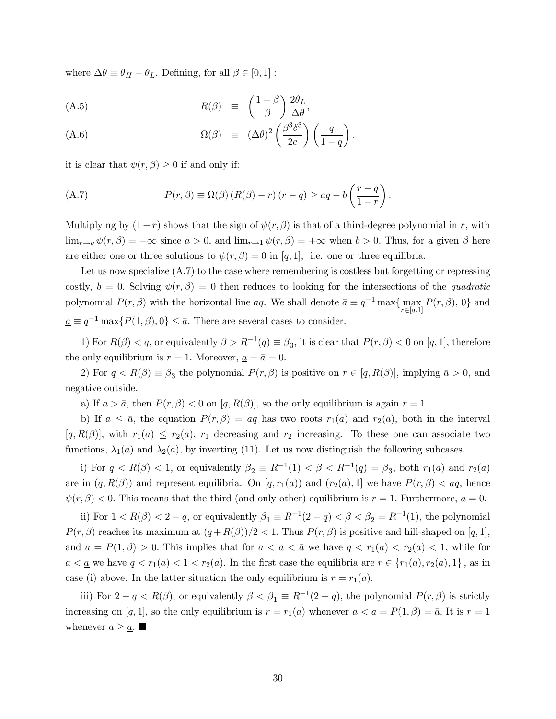where  $\Delta \theta \equiv \theta_H - \theta_L$ . Defining, for all  $\beta \in [0, 1]$ :

(A.5) 
$$
R(\beta) \equiv \left(\frac{1-\beta}{\beta}\right) \frac{2\theta_L}{\Delta \theta},
$$

(A.6) 
$$
\Omega(\beta) \equiv (\Delta \theta)^2 \left(\frac{\beta^3 \delta^3}{2\bar{c}}\right) \left(\frac{q}{1-q}\right).
$$

it is clear that  $\psi(r,\beta) \geq 0$  if and only if:

(A.7) 
$$
P(r, \beta) \equiv \Omega(\beta) (R(\beta) - r) (r - q) \ge aq - b \left( \frac{r - q}{1 - r} \right).
$$

Multiplying by  $(1 - r)$  shows that the sign of  $\psi(r, \beta)$  is that of a third-degree polynomial in r, with  $\lim_{r\to q}\psi(r,\beta) = -\infty$  since  $a > 0$ , and  $\lim_{r\to 1}\psi(r,\beta) = +\infty$  when  $b > 0$ . Thus, for a given  $\beta$  here are either one or three solutions to  $\psi(r,\beta)=0$  in [q, 1], i.e. one or three equilibria.

Let us now specialize  $(A.7)$  to the case where remembering is costless but forgetting or repressing costly,  $b = 0$ . Solving  $\psi(r, \beta) = 0$  then reduces to looking for the intersections of the quadratic polynomial  $P(r, \beta)$  with the horizontal line aq. We shall denote  $\bar{a} \equiv q^{-1} \max\{\max_{r \in [q, 1]} P(r, \beta), 0\}$  and  $a \equiv q^{-1} \max\{P(1,\beta), 0\} \leq \bar{a}$ . There are several cases to consider.

1) For  $R(\beta) < q$ , or equivalently  $\beta > R^{-1}(q) \equiv \beta_3$ , it is clear that  $P(r, \beta) < 0$  on [q, 1], therefore the only equilibrium is  $r = 1$ . Moreover,  $a = \bar{a} = 0$ .

2) For  $q < R(\beta) \equiv \beta_3$  the polynomial  $P(r, \beta)$  is positive on  $r \in [q, R(\beta)]$ , implying  $\bar{a} > 0$ , and negative outside.

a) If  $a > \bar{a}$ , then  $P(r, \beta) < 0$  on  $[q, R(\beta)]$ , so the only equilibrium is again  $r = 1$ .

b) If  $a \leq \bar{a}$ , the equation  $P(r, \beta) = aq$  has two roots  $r_1(a)$  and  $r_2(a)$ , both in the interval  $[q, R(\beta)]$ , with  $r_1(a) \leq r_2(a)$ ,  $r_1$  decreasing and  $r_2$  increasing. To these one can associate two functions,  $\lambda_1(a)$  and  $\lambda_2(a)$ , by inverting (11). Let us now distinguish the following subcases.

i) For  $q < R(\beta) < 1$ , or equivalently  $\beta_2 \equiv R^{-1}(1) < \beta < R^{-1}(q) = \beta_3$ , both  $r_1(a)$  and  $r_2(a)$ are in  $(q, R(\beta))$  and represent equilibria. On  $[q, r_1(a)]$  and  $(r_2(a), 1]$  we have  $P(r, \beta) < aq$ , hence  $\psi(r,\beta)$  < 0. This means that the third (and only other) equilibrium is  $r = 1$ . Furthermore,  $\underline{a} = 0$ .

ii) For  $1 < R(\beta) < 2 - q$ , or equivalently  $\beta_1 \equiv R^{-1}(2 - q) < \beta < \beta_2 = R^{-1}(1)$ , the polynomial  $P(r, \beta)$  reaches its maximum at  $(q + R(\beta))/2 < 1$ . Thus  $P(r, \beta)$  is positive and hill-shaped on [q, 1], and  $\underline{a} = P(1, \beta) > 0$ . This implies that for  $\underline{a} < a < \overline{a}$  we have  $q < r_1(a) < r_2(a) < 1$ , while for  $a < \underline{a}$  we have  $q < r_1(a) < 1 < r_2(a)$ . In the first case the equilibria are  $r \in \{r_1(a), r_2(a), 1\}$ , as in case (i) above. In the latter situation the only equilibrium is  $r = r_1(a)$ .

iii) For  $2 - q < R(\beta)$ , or equivalently  $\beta < \beta_1 \equiv R^{-1}(2 - q)$ , the polynomial  $P(r, \beta)$  is strictly increasing on [q, 1], so the only equilibrium is  $r = r_1(a)$  whenever  $a < \underline{a} = P(1, \beta) = \overline{a}$ . It is  $r = 1$ whenever  $a \geq \underline{a}$ .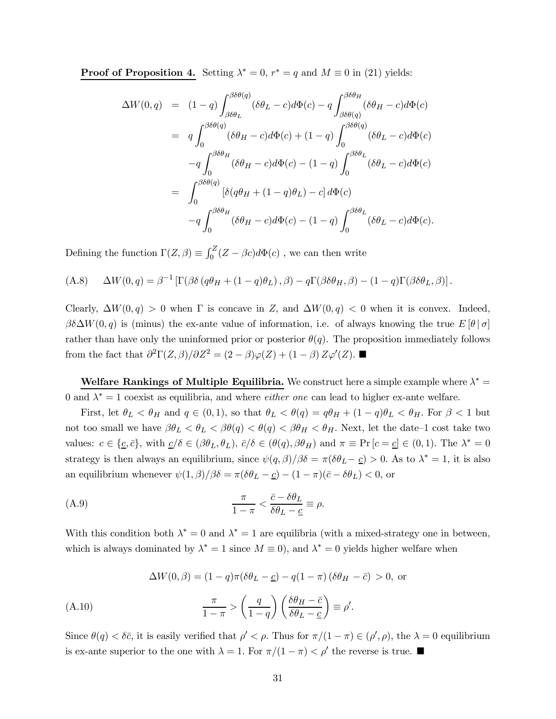**Proof of Proposition 4.** Setting  $\lambda^* = 0$ ,  $r^* = q$  and  $M \equiv 0$  in (21) yields:

$$
\Delta W(0,q) = (1-q) \int_{\beta\delta\theta_L}^{\beta\delta\theta(q)} (\delta\theta_L - c) d\Phi(c) - q \int_{\beta\delta\theta(q)}^{\beta\delta\theta_H} (\delta\theta_H - c) d\Phi(c)
$$
  
\n
$$
= q \int_0^{\beta\delta\theta(q)} (\delta\theta_H - c) d\Phi(c) + (1-q) \int_0^{\beta\delta\theta(q)} (\delta\theta_L - c) d\Phi(c)
$$
  
\n
$$
-q \int_0^{\beta\delta\theta_H} (\delta\theta_H - c) d\Phi(c) - (1-q) \int_0^{\beta\delta\theta_L} (\delta\theta_L - c) d\Phi(c)
$$
  
\n
$$
= \int_0^{\beta\delta\theta(q)} [\delta(q\theta_H + (1-q)\theta_L) - c] d\Phi(c)
$$
  
\n
$$
-q \int_0^{\beta\delta\theta_H} (\delta\theta_H - c) d\Phi(c) - (1-q) \int_0^{\beta\delta\theta_L} (\delta\theta_L - c) d\Phi(c).
$$

Defining the function  $\Gamma(Z, \beta) \equiv \int_0^Z (Z - \beta c) d\Phi(c)$ , we can then write

(A.8) 
$$
\Delta W(0,q) = \beta^{-1} \left[ \Gamma(\beta \delta (q\theta_H + (1-q)\theta_L), \beta) - q \Gamma(\beta \delta \theta_H, \beta) - (1-q) \Gamma(\beta \delta \theta_L, \beta) \right].
$$

Clearly,  $\Delta W(0, q) > 0$  when  $\Gamma$  is concave in Z, and  $\Delta W(0, q) < 0$  when it is convex. Indeed,  $\beta\delta\Delta W(0, q)$  is (minus) the ex-ante value of information, i.e. of always knowing the true  $E[\theta | \sigma]$ rather than have only the uninformed prior or posterior  $\theta(q)$ . The proposition immediately follows from the fact that  $\partial^2 \Gamma(Z,\beta)/\partial Z^2 = (2-\beta)\varphi(Z) + (1-\beta) Z\varphi'(Z)$ .

Welfare Rankings of Multiple Equilibria. We construct here a simple example where  $\lambda^*$  = 0 and  $\lambda^* = 1$  coexist as equilibria, and where *either one* can lead to higher ex-ante welfare.

First, let  $\theta_L < \theta_H$  and  $q \in (0,1)$ , so that  $\theta_L < \theta(q) = q\theta_H + (1-q)\theta_L < \theta_H$ . For  $\beta < 1$  but not too small we have  $\beta \theta_L < \theta_L < \beta \theta(q) < \beta(\theta_R) < \beta \theta_H < \theta_H$ . Next, let the date-1 cost take two values:  $c \in \{\underline{c}, \overline{c}\}\,$ , with  $\underline{c}/\delta \in (\beta \theta_L, \theta_L)$ ,  $\overline{c}/\delta \in (\theta(q), \beta \theta_H)$  and  $\pi \equiv \Pr[c = \underline{c}] \in (0, 1)$ . The  $\lambda^* = 0$ strategy is then always an equilibrium, since  $\psi(q, \beta)/\beta \delta = \pi (\delta \theta_L - \underline{c}) > 0$ . As to  $\lambda^* = 1$ , it is also an equilibrium whenever  $\psi(1,\beta)/\beta\delta = \pi(\delta\theta_L - \underline{c}) - (1-\pi)(\bar{c} - \delta\theta_L) < 0$ , or

(A.9) 
$$
\frac{\pi}{1-\pi} < \frac{\bar{c} - \delta\theta_L}{\delta\theta_L - \underline{c}} \equiv \rho.
$$

With this condition both  $\lambda^* = 0$  and  $\lambda^* = 1$  are equilibria (with a mixed-strategy one in between, which is always dominated by  $\lambda^* = 1$  since  $M \equiv 0$ , and  $\lambda^* = 0$  yields higher welfare when

$$
\Delta W(0,\beta) = (1-q)\pi(\delta\theta_L - \underline{c}) - q(1-\pi)(\delta\theta_H - \overline{c}) > 0, \text{ or}
$$
\n
$$
\frac{\pi}{1-\pi} > \left(\frac{q}{1-q}\right) \left(\frac{\delta\theta_H - \overline{c}}{\delta\theta_L - \underline{c}}\right) \equiv \rho'.
$$

Since  $\theta(q) < \delta \bar{c}$ , it is easily verified that  $\rho' < \rho$ . Thus for  $\pi/(1 - \pi) \in (\rho', \rho)$ , the  $\lambda = 0$  equilibrium is ex-ante superior to the one with  $\lambda = 1$ . For  $\pi/(1 - \pi) < \rho'$  the reverse is true.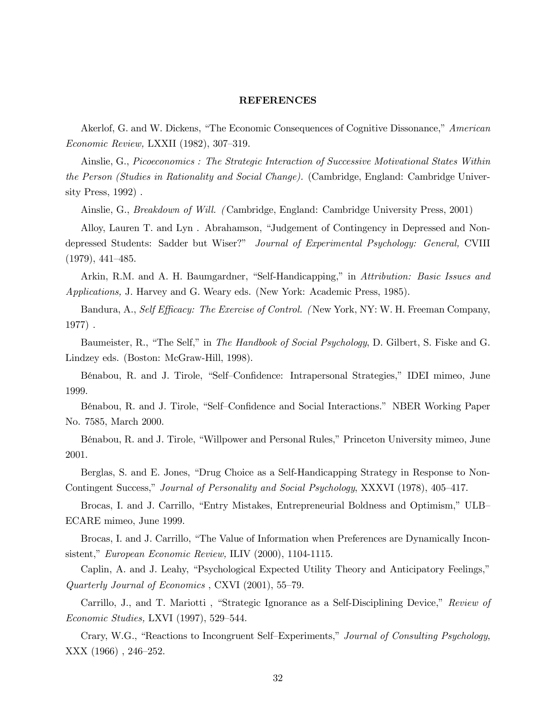#### REFERENCES

Akerlof, G. and W. Dickens, "The Economic Consequences of Cognitive Dissonance," American Economic Review, LXXII (1982), 307—319.

Ainslie, G., Picoeconomics : The Strategic Interaction of Successive Motivational States Within the Person (Studies in Rationality and Social Change). (Cambridge, England: Cambridge University Press, 1992) .

Ainslie, G., Breakdown of Will. ( Cambridge, England: Cambridge University Press, 2001)

Alloy, Lauren T. and Lyn . Abrahamson, "Judgement of Contingency in Depressed and Nondepressed Students: Sadder but Wiser?" Journal of Experimental Psychology: General, CVIII (1979), 441—485.

Arkin, R.M. and A. H. Baumgardner, "Self-Handicapping," in Attribution: Basic Issues and Applications, J. Harvey and G. Weary eds. (New York: Academic Press, 1985).

Bandura, A., Self Efficacy: The Exercise of Control. (New York, NY: W. H. Freeman Company, 1977) .

Baumeister, R., "The Self," in The Handbook of Social Psychology, D. Gilbert, S. Fiske and G. Lindzey eds. (Boston: McGraw-Hill, 1998).

Bénabou, R. and J. Tirole, "Self—Confidence: Intrapersonal Strategies," IDEI mimeo, June 1999.

Bénabou, R. and J. Tirole, "Self—Confidence and Social Interactions." NBER Working Paper No. 7585, March 2000.

Bénabou, R. and J. Tirole, "Willpower and Personal Rules," Princeton University mimeo, June 2001.

Berglas, S. and E. Jones, "Drug Choice as a Self-Handicapping Strategy in Response to Non-Contingent Success," Journal of Personality and Social Psychology, XXXVI (1978), 405—417.

Brocas, I. and J. Carrillo, "Entry Mistakes, Entrepreneurial Boldness and Optimism," ULB— ECARE mimeo, June 1999.

Brocas, I. and J. Carrillo, "The Value of Information when Preferences are Dynamically Inconsistent," European Economic Review, ILIV (2000), 1104-1115.

Caplin, A. and J. Leahy, "Psychological Expected Utility Theory and Anticipatory Feelings," Quarterly Journal of Economics , CXVI (2001), 55—79.

Carrillo, J., and T. Mariotti , "Strategic Ignorance as a Self-Disciplining Device," Review of Economic Studies, LXVI (1997), 529—544.

Crary, W.G., "Reactions to Incongruent Self—Experiments," Journal of Consulting Psychology, XXX (1966) , 246—252.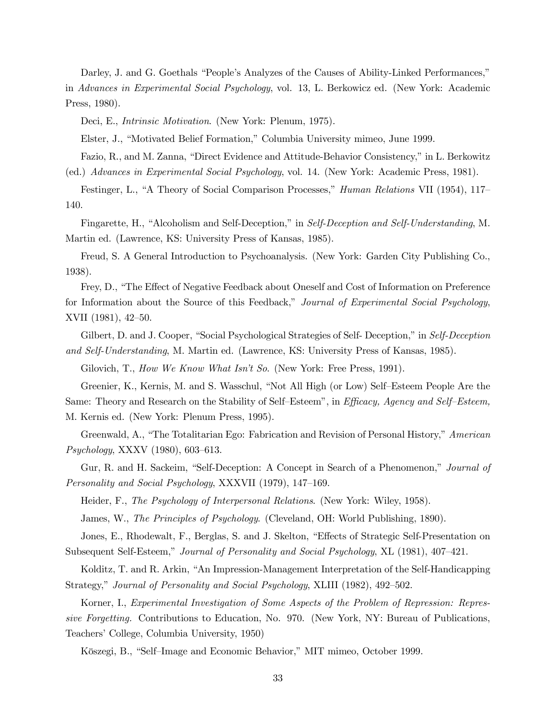Darley, J. and G. Goethals "People's Analyzes of the Causes of Ability-Linked Performances," in Advances in Experimental Social Psychology, vol. 13, L. Berkowicz ed. (New York: Academic Press, 1980).

Deci, E., *Intrinsic Motivation.* (New York: Plenum, 1975).

Elster, J., "Motivated Belief Formation," Columbia University mimeo, June 1999.

Fazio, R., and M. Zanna, "Direct Evidence and Attitude-Behavior Consistency," in L. Berkowitz (ed.) Advances in Experimental Social Psychology, vol. 14. (New York: Academic Press, 1981).

Festinger, L., "A Theory of Social Comparison Processes," *Human Relations* VII (1954), 117– 140.

Fingarette, H., "Alcoholism and Self-Deception," in Self-Deception and Self-Understanding, M. Martin ed. (Lawrence, KS: University Press of Kansas, 1985).

Freud, S. A General Introduction to Psychoanalysis. (New York: Garden City Publishing Co., 1938).

Frey, D., "The Effect of Negative Feedback about Oneself and Cost of Information on Preference for Information about the Source of this Feedback," Journal of Experimental Social Psychology, XVII (1981), 42—50.

Gilbert, D. and J. Cooper, "Social Psychological Strategies of Self- Deception," in Self-Deception and Self-Understanding, M. Martin ed. (Lawrence, KS: University Press of Kansas, 1985).

Gilovich, T., How We Know What Isn't So. (New York: Free Press, 1991).

Greenier, K., Kernis, M. and S. Wasschul, "Not All High (or Low) Self—Esteem People Are the Same: Theory and Research on the Stability of Self—Esteem", in Efficacy, Agency and Self—Esteem, M. Kernis ed. (New York: Plenum Press, 1995).

Greenwald, A., "The Totalitarian Ego: Fabrication and Revision of Personal History," American Psychology, XXXV (1980), 603—613.

Gur, R. and H. Sackeim, "Self-Deception: A Concept in Search of a Phenomenon," *Journal of* Personality and Social Psychology, XXXVII (1979), 147—169.

Heider, F., The Psychology of Interpersonal Relations. (New York: Wiley, 1958).

James, W., The Principles of Psychology. (Cleveland, OH: World Publishing, 1890).

Jones, E., Rhodewalt, F., Berglas, S. and J. Skelton, "Effects of Strategic Self-Presentation on Subsequent Self-Esteem," Journal of Personality and Social Psychology, XL (1981), 407—421.

Kolditz, T. and R. Arkin, "An Impression-Management Interpretation of the Self-Handicapping Strategy," Journal of Personality and Social Psychology, XLIII (1982), 492—502.

Korner, I., Experimental Investigation of Some Aspects of the Problem of Repression: Repressive Forgetting. Contributions to Education, No. 970. (New York, NY: Bureau of Publications, Teachers' College, Columbia University, 1950)

Köszegi, B., "Self—Image and Economic Behavior," MIT mimeo, October 1999.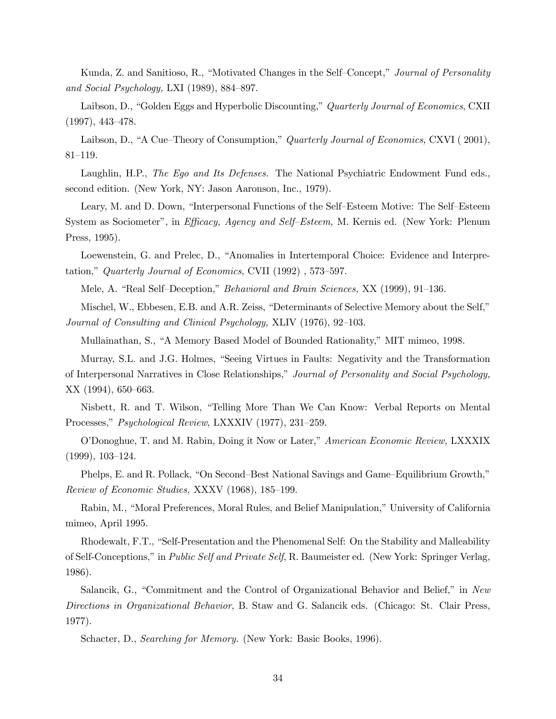Kunda, Z. and Sanitioso, R., "Motivated Changes in the Self-Concept," Journal of Personality and Social Psychology, LXI (1989), 884—897.

Laibson, D., "Golden Eggs and Hyperbolic Discounting," Quarterly Journal of Economics, CXII (1997), 443—478.

Laibson, D., "A Cue–Theory of Consumption," Quarterly Journal of Economics, CXVI (2001), 81—119.

Laughlin, H.P., The Ego and Its Defenses. The National Psychiatric Endowment Fund eds., second edition. (New York, NY: Jason Aaronson, Inc., 1979).

Leary, M. and D. Down, "Interpersonal Functions of the Self—Esteem Motive: The Self—Esteem System as Sociometer", in Efficacy, Agency and Self—Esteem, M. Kernis ed. (New York: Plenum Press, 1995).

Loewenstein, G. and Prelec, D., "Anomalies in Intertemporal Choice: Evidence and Interpretation," Quarterly Journal of Economics, CVII (1992) , 573—597.

Mele, A. "Real Self—Deception," Behavioral and Brain Sciences, XX (1999), 91—136.

Mischel, W., Ebbesen, E.B. and A.R. Zeiss, "Determinants of Selective Memory about the Self," Journal of Consulting and Clinical Psychology, XLIV (1976), 92—103.

Mullainathan, S., "A Memory Based Model of Bounded Rationality," MIT mimeo, 1998.

Murray, S.L. and J.G. Holmes, "Seeing Virtues in Faults: Negativity and the Transformation of Interpersonal Narratives in Close Relationships," Journal of Personality and Social Psychology, XX (1994), 650—663.

Nisbett, R. and T. Wilson, "Telling More Than We Can Know: Verbal Reports on Mental Processes," Psychological Review, LXXXIV (1977), 231—259.

O'Donoghue, T. and M. Rabin, Doing it Now or Later," American Economic Review, LXXXIX (1999), 103—124.

Phelps, E. and R. Pollack, "On Second—Best National Savings and Game—Equilibrium Growth," Review of Economic Studies, XXXV (1968), 185—199.

Rabin, M., "Moral Preferences, Moral Rules, and Belief Manipulation," University of California mimeo, April 1995.

Rhodewalt, F.T., "Self-Presentation and the Phenomenal Self: On the Stability and Malleability of Self-Conceptions," in Public Self and Private Self, R. Baumeister ed. (New York: Springer Verlag, 1986).

Salancik, G., "Commitment and the Control of Organizational Behavior and Belief," in New Directions in Organizational Behavior, B. Staw and G. Salancik eds. (Chicago: St. Clair Press, 1977).

Schacter, D., Searching for Memory. (New York: Basic Books, 1996).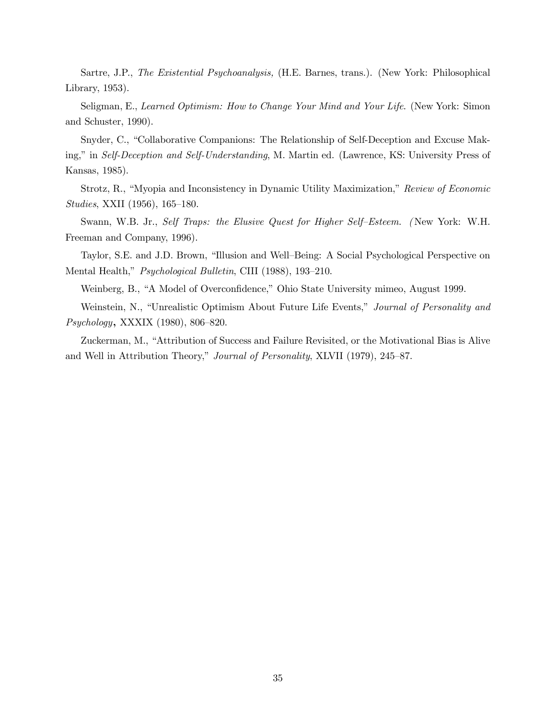Sartre, J.P., The Existential Psychoanalysis, (H.E. Barnes, trans.). (New York: Philosophical Library, 1953).

Seligman, E., Learned Optimism: How to Change Your Mind and Your Life. (New York: Simon and Schuster, 1990).

Snyder, C., "Collaborative Companions: The Relationship of Self-Deception and Excuse Making," in Self-Deception and Self-Understanding, M. Martin ed. (Lawrence, KS: University Press of Kansas, 1985).

Strotz, R., "Myopia and Inconsistency in Dynamic Utility Maximization," Review of Economic Studies, XXII (1956), 165—180.

Swann, W.B. Jr., Self Traps: the Elusive Quest for Higher Self—Esteem. ( New York: W.H. Freeman and Company, 1996).

Taylor, S.E. and J.D. Brown, "Illusion and Well—Being: A Social Psychological Perspective on Mental Health," Psychological Bulletin, CIII (1988), 193—210.

Weinberg, B., "A Model of Overconfidence," Ohio State University mimeo, August 1999.

Weinstein, N., "Unrealistic Optimism About Future Life Events," Journal of Personality and Psychology, XXXIX (1980), 806—820.

Zuckerman, M., "Attribution of Success and Failure Revisited, or the Motivational Bias is Alive and Well in Attribution Theory," Journal of Personality, XLVII (1979), 245—87.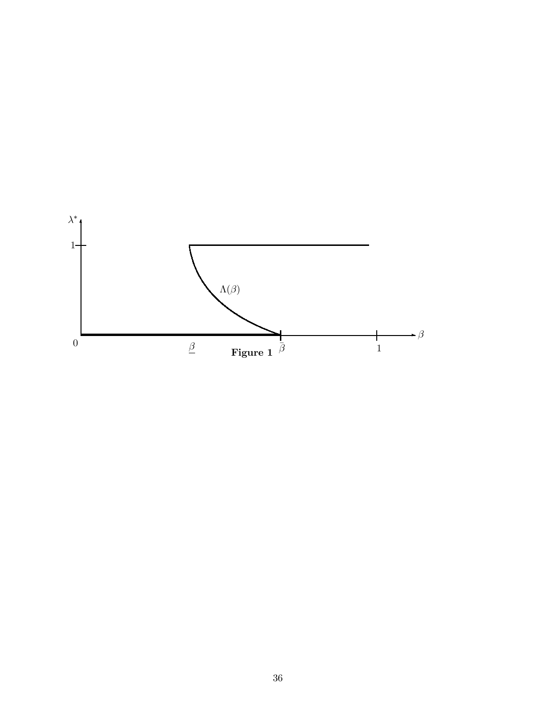